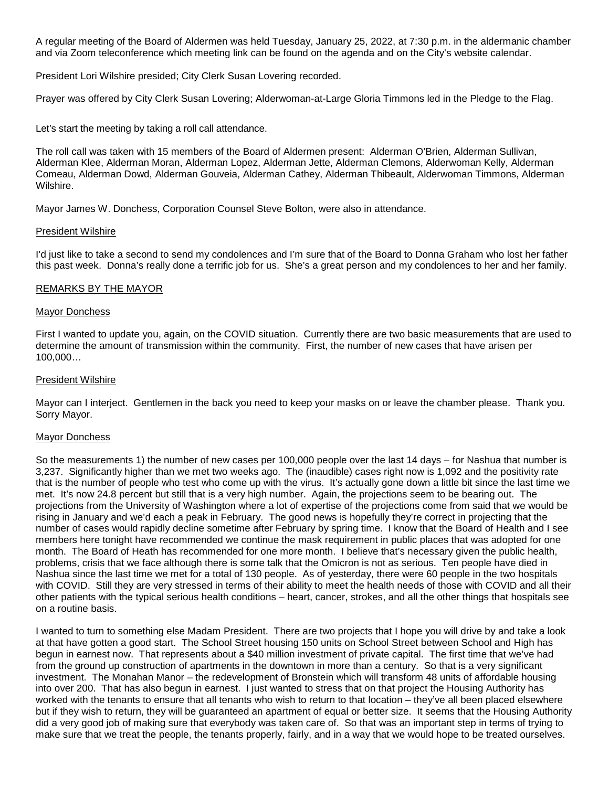A regular meeting of the Board of Aldermen was held Tuesday, January 25, 2022, at 7:30 p.m. in the aldermanic chamber and via Zoom teleconference which meeting link can be found on the agenda and on the City's website calendar.

President Lori Wilshire presided; City Clerk Susan Lovering recorded.

Prayer was offered by City Clerk Susan Lovering; Alderwoman-at-Large Gloria Timmons led in the Pledge to the Flag.

Let's start the meeting by taking a roll call attendance.

The roll call was taken with 15 members of the Board of Aldermen present: Alderman O'Brien, Alderman Sullivan, Alderman Klee, Alderman Moran, Alderman Lopez, Alderman Jette, Alderman Clemons, Alderwoman Kelly, Alderman Comeau, Alderman Dowd, Alderman Gouveia, Alderman Cathey, Alderman Thibeault, Alderwoman Timmons, Alderman Wilshire.

Mayor James W. Donchess, Corporation Counsel Steve Bolton, were also in attendance.

#### President Wilshire

I'd just like to take a second to send my condolences and I'm sure that of the Board to Donna Graham who lost her father this past week. Donna's really done a terrific job for us. She's a great person and my condolences to her and her family.

# REMARKS BY THE MAYOR

#### Mayor Donchess

First I wanted to update you, again, on the COVID situation. Currently there are two basic measurements that are used to determine the amount of transmission within the community. First, the number of new cases that have arisen per 100,000…

#### President Wilshire

Mayor can I interject. Gentlemen in the back you need to keep your masks on or leave the chamber please. Thank you. Sorry Mayor.

#### Mayor Donchess

So the measurements 1) the number of new cases per 100,000 people over the last 14 days – for Nashua that number is 3,237. Significantly higher than we met two weeks ago. The (inaudible) cases right now is 1,092 and the positivity rate that is the number of people who test who come up with the virus. It's actually gone down a little bit since the last time we met. It's now 24.8 percent but still that is a very high number. Again, the projections seem to be bearing out. The projections from the University of Washington where a lot of expertise of the projections come from said that we would be rising in January and we'd each a peak in February. The good news is hopefully they're correct in projecting that the number of cases would rapidly decline sometime after February by spring time. I know that the Board of Health and I see members here tonight have recommended we continue the mask requirement in public places that was adopted for one month. The Board of Heath has recommended for one more month. I believe that's necessary given the public health, problems, crisis that we face although there is some talk that the Omicron is not as serious. Ten people have died in Nashua since the last time we met for a total of 130 people. As of yesterday, there were 60 people in the two hospitals with COVID. Still they are very stressed in terms of their ability to meet the health needs of those with COVID and all their other patients with the typical serious health conditions – heart, cancer, strokes, and all the other things that hospitals see on a routine basis.

I wanted to turn to something else Madam President. There are two projects that I hope you will drive by and take a look at that have gotten a good start. The School Street housing 150 units on School Street between School and High has begun in earnest now. That represents about a \$40 million investment of private capital. The first time that we've had from the ground up construction of apartments in the downtown in more than a century. So that is a very significant investment. The Monahan Manor – the redevelopment of Bronstein which will transform 48 units of affordable housing into over 200. That has also begun in earnest. I just wanted to stress that on that project the Housing Authority has worked with the tenants to ensure that all tenants who wish to return to that location – they've all been placed elsewhere but if they wish to return, they will be guaranteed an apartment of equal or better size. It seems that the Housing Authority did a very good job of making sure that everybody was taken care of. So that was an important step in terms of trying to make sure that we treat the people, the tenants properly, fairly, and in a way that we would hope to be treated ourselves.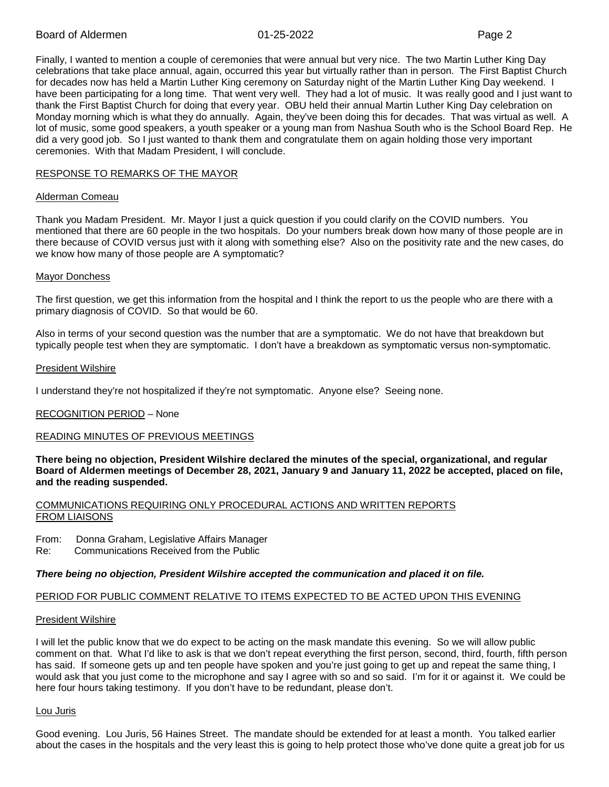Finally, I wanted to mention a couple of ceremonies that were annual but very nice. The two Martin Luther King Day celebrations that take place annual, again, occurred this year but virtually rather than in person. The First Baptist Church for decades now has held a Martin Luther King ceremony on Saturday night of the Martin Luther King Day weekend. I have been participating for a long time. That went very well. They had a lot of music. It was really good and I just want to thank the First Baptist Church for doing that every year. OBU held their annual Martin Luther King Day celebration on Monday morning which is what they do annually. Again, they've been doing this for decades. That was virtual as well. A lot of music, some good speakers, a youth speaker or a young man from Nashua South who is the School Board Rep. He did a very good job. So I just wanted to thank them and congratulate them on again holding those very important ceremonies. With that Madam President, I will conclude.

# RESPONSE TO REMARKS OF THE MAYOR

#### Alderman Comeau

Thank you Madam President. Mr. Mayor I just a quick question if you could clarify on the COVID numbers. You mentioned that there are 60 people in the two hospitals. Do your numbers break down how many of those people are in there because of COVID versus just with it along with something else? Also on the positivity rate and the new cases, do we know how many of those people are A symptomatic?

# Mayor Donchess

The first question, we get this information from the hospital and I think the report to us the people who are there with a primary diagnosis of COVID. So that would be 60.

Also in terms of your second question was the number that are a symptomatic. We do not have that breakdown but typically people test when they are symptomatic. I don't have a breakdown as symptomatic versus non-symptomatic.

# President Wilshire

I understand they're not hospitalized if they're not symptomatic. Anyone else? Seeing none.

# RECOGNITION PERIOD – None

# READING MINUTES OF PREVIOUS MEETINGS

**There being no objection, President Wilshire declared the minutes of the special, organizational, and regular Board of Aldermen meetings of December 28, 2021, January 9 and January 11, 2022 be accepted, placed on file, and the reading suspended.**

# COMMUNICATIONS REQUIRING ONLY PROCEDURAL ACTIONS AND WRITTEN REPORTS FROM LIAISONS

From: Donna Graham, Legislative Affairs Manager

Re: Communications Received from the Public

#### *There being no objection, President Wilshire accepted the communication and placed it on file.*

# PERIOD FOR PUBLIC COMMENT RELATIVE TO ITEMS EXPECTED TO BE ACTED UPON THIS EVENING

#### President Wilshire

I will let the public know that we do expect to be acting on the mask mandate this evening. So we will allow public comment on that. What I'd like to ask is that we don't repeat everything the first person, second, third, fourth, fifth person has said. If someone gets up and ten people have spoken and you're just going to get up and repeat the same thing, I would ask that you just come to the microphone and say I agree with so and so said. I'm for it or against it. We could be here four hours taking testimony. If you don't have to be redundant, please don't.

#### Lou Juris

Good evening. Lou Juris, 56 Haines Street. The mandate should be extended for at least a month. You talked earlier about the cases in the hospitals and the very least this is going to help protect those who've done quite a great job for us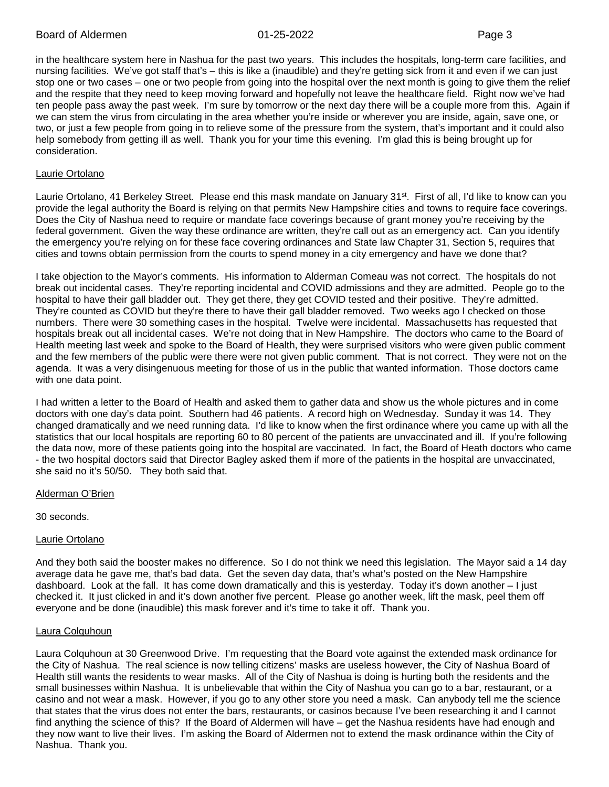in the healthcare system here in Nashua for the past two years. This includes the hospitals, long-term care facilities, and nursing facilities. We've got staff that's – this is like a (inaudible) and they're getting sick from it and even if we can just stop one or two cases – one or two people from going into the hospital over the next month is going to give them the relief and the respite that they need to keep moving forward and hopefully not leave the healthcare field. Right now we've had ten people pass away the past week. I'm sure by tomorrow or the next day there will be a couple more from this. Again if we can stem the virus from circulating in the area whether you're inside or wherever you are inside, again, save one, or two, or just a few people from going in to relieve some of the pressure from the system, that's important and it could also help somebody from getting ill as well. Thank you for your time this evening. I'm glad this is being brought up for consideration.

#### Laurie Ortolano

Laurie Ortolano, 41 Berkeley Street. Please end this mask mandate on January 31<sup>st</sup>. First of all, I'd like to know can you provide the legal authority the Board is relying on that permits New Hampshire cities and towns to require face coverings. Does the City of Nashua need to require or mandate face coverings because of grant money you're receiving by the federal government. Given the way these ordinance are written, they're call out as an emergency act. Can you identify the emergency you're relying on for these face covering ordinances and State law Chapter 31, Section 5, requires that cities and towns obtain permission from the courts to spend money in a city emergency and have we done that?

I take objection to the Mayor's comments. His information to Alderman Comeau was not correct. The hospitals do not break out incidental cases. They're reporting incidental and COVID admissions and they are admitted. People go to the hospital to have their gall bladder out. They get there, they get COVID tested and their positive. They're admitted. They're counted as COVID but they're there to have their gall bladder removed. Two weeks ago I checked on those numbers. There were 30 something cases in the hospital. Twelve were incidental. Massachusetts has requested that hospitals break out all incidental cases. We're not doing that in New Hampshire. The doctors who came to the Board of Health meeting last week and spoke to the Board of Health, they were surprised visitors who were given public comment and the few members of the public were there were not given public comment. That is not correct. They were not on the agenda. It was a very disingenuous meeting for those of us in the public that wanted information. Those doctors came with one data point.

I had written a letter to the Board of Health and asked them to gather data and show us the whole pictures and in come doctors with one day's data point. Southern had 46 patients. A record high on Wednesday. Sunday it was 14. They changed dramatically and we need running data. I'd like to know when the first ordinance where you came up with all the statistics that our local hospitals are reporting 60 to 80 percent of the patients are unvaccinated and ill. If you're following the data now, more of these patients going into the hospital are vaccinated. In fact, the Board of Heath doctors who came - the two hospital doctors said that Director Bagley asked them if more of the patients in the hospital are unvaccinated, she said no it's 50/50. They both said that.

#### Alderman O'Brien

30 seconds.

#### Laurie Ortolano

And they both said the booster makes no difference. So I do not think we need this legislation. The Mayor said a 14 day average data he gave me, that's bad data. Get the seven day data, that's what's posted on the New Hampshire dashboard. Look at the fall. It has come down dramatically and this is yesterday. Today it's down another – I just checked it. It just clicked in and it's down another five percent. Please go another week, lift the mask, peel them off everyone and be done (inaudible) this mask forever and it's time to take it off. Thank you.

#### Laura Colquhoun

Laura Colquhoun at 30 Greenwood Drive. I'm requesting that the Board vote against the extended mask ordinance for the City of Nashua. The real science is now telling citizens' masks are useless however, the City of Nashua Board of Health still wants the residents to wear masks. All of the City of Nashua is doing is hurting both the residents and the small businesses within Nashua. It is unbelievable that within the City of Nashua you can go to a bar, restaurant, or a casino and not wear a mask. However, if you go to any other store you need a mask. Can anybody tell me the science that states that the virus does not enter the bars, restaurants, or casinos because I've been researching it and I cannot find anything the science of this? If the Board of Aldermen will have – get the Nashua residents have had enough and they now want to live their lives. I'm asking the Board of Aldermen not to extend the mask ordinance within the City of Nashua. Thank you.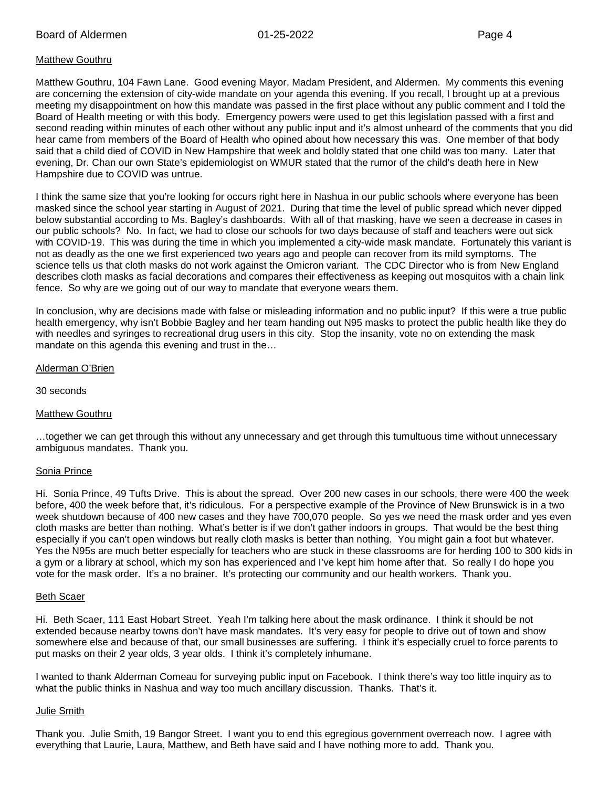# Matthew Gouthru

Matthew Gouthru, 104 Fawn Lane. Good evening Mayor, Madam President, and Aldermen. My comments this evening are concerning the extension of city-wide mandate on your agenda this evening. If you recall, I brought up at a previous meeting my disappointment on how this mandate was passed in the first place without any public comment and I told the Board of Health meeting or with this body. Emergency powers were used to get this legislation passed with a first and second reading within minutes of each other without any public input and it's almost unheard of the comments that you did hear came from members of the Board of Health who opined about how necessary this was. One member of that body said that a child died of COVID in New Hampshire that week and boldly stated that one child was too many. Later that evening, Dr. Chan our own State's epidemiologist on WMUR stated that the rumor of the child's death here in New Hampshire due to COVID was untrue.

I think the same size that you're looking for occurs right here in Nashua in our public schools where everyone has been masked since the school year starting in August of 2021. During that time the level of public spread which never dipped below substantial according to Ms. Bagley's dashboards. With all of that masking, have we seen a decrease in cases in our public schools? No. In fact, we had to close our schools for two days because of staff and teachers were out sick with COVID-19. This was during the time in which you implemented a city-wide mask mandate. Fortunately this variant is not as deadly as the one we first experienced two years ago and people can recover from its mild symptoms. The science tells us that cloth masks do not work against the Omicron variant. The CDC Director who is from New England describes cloth masks as facial decorations and compares their effectiveness as keeping out mosquitos with a chain link fence. So why are we going out of our way to mandate that everyone wears them.

In conclusion, why are decisions made with false or misleading information and no public input? If this were a true public health emergency, why isn't Bobbie Bagley and her team handing out N95 masks to protect the public health like they do with needles and syringes to recreational drug users in this city. Stop the insanity, vote no on extending the mask mandate on this agenda this evening and trust in the…

#### Alderman O'Brien

30 seconds

#### Matthew Gouthru

…together we can get through this without any unnecessary and get through this tumultuous time without unnecessary ambiguous mandates. Thank you.

#### Sonia Prince

Hi. Sonia Prince, 49 Tufts Drive. This is about the spread. Over 200 new cases in our schools, there were 400 the week before, 400 the week before that, it's ridiculous. For a perspective example of the Province of New Brunswick is in a two week shutdown because of 400 new cases and they have 700,070 people. So yes we need the mask order and yes even cloth masks are better than nothing. What's better is if we don't gather indoors in groups. That would be the best thing especially if you can't open windows but really cloth masks is better than nothing. You might gain a foot but whatever. Yes the N95s are much better especially for teachers who are stuck in these classrooms are for herding 100 to 300 kids in a gym or a library at school, which my son has experienced and I've kept him home after that. So really I do hope you vote for the mask order. It's a no brainer. It's protecting our community and our health workers. Thank you.

#### Beth Scaer

Hi. Beth Scaer, 111 East Hobart Street. Yeah I'm talking here about the mask ordinance. I think it should be not extended because nearby towns don't have mask mandates. It's very easy for people to drive out of town and show somewhere else and because of that, our small businesses are suffering. I think it's especially cruel to force parents to put masks on their 2 year olds, 3 year olds. I think it's completely inhumane.

I wanted to thank Alderman Comeau for surveying public input on Facebook. I think there's way too little inquiry as to what the public thinks in Nashua and way too much ancillary discussion. Thanks. That's it.

#### Julie Smith

Thank you. Julie Smith, 19 Bangor Street. I want you to end this egregious government overreach now. I agree with everything that Laurie, Laura, Matthew, and Beth have said and I have nothing more to add. Thank you.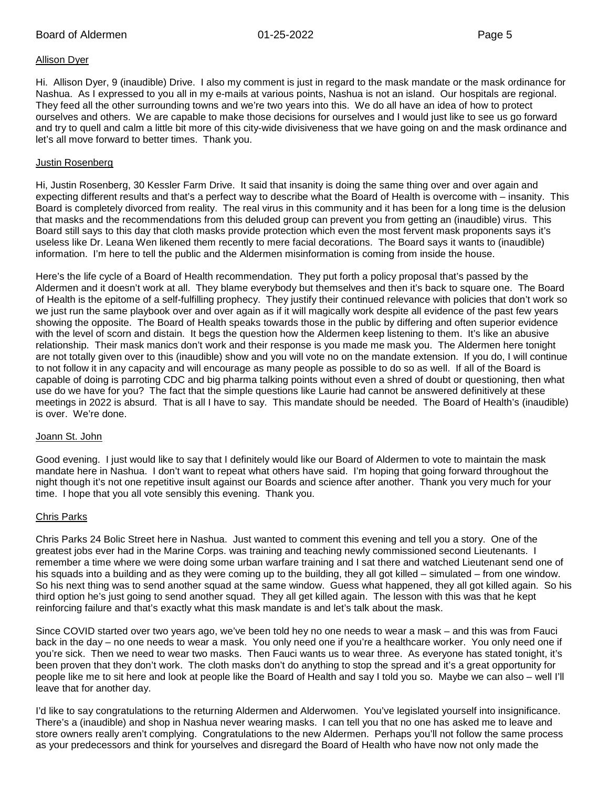#### Allison Dyer

Hi. Allison Dyer, 9 (inaudible) Drive. I also my comment is just in regard to the mask mandate or the mask ordinance for Nashua. As I expressed to you all in my e-mails at various points, Nashua is not an island. Our hospitals are regional. They feed all the other surrounding towns and we're two years into this. We do all have an idea of how to protect ourselves and others. We are capable to make those decisions for ourselves and I would just like to see us go forward and try to quell and calm a little bit more of this city-wide divisiveness that we have going on and the mask ordinance and let's all move forward to better times. Thank you.

#### Justin Rosenberg

Hi, Justin Rosenberg, 30 Kessler Farm Drive. It said that insanity is doing the same thing over and over again and expecting different results and that's a perfect way to describe what the Board of Health is overcome with – insanity. This Board is completely divorced from reality. The real virus in this community and it has been for a long time is the delusion that masks and the recommendations from this deluded group can prevent you from getting an (inaudible) virus. This Board still says to this day that cloth masks provide protection which even the most fervent mask proponents says it's useless like Dr. Leana Wen likened them recently to mere facial decorations. The Board says it wants to (inaudible) information. I'm here to tell the public and the Aldermen misinformation is coming from inside the house.

Here's the life cycle of a Board of Health recommendation. They put forth a policy proposal that's passed by the Aldermen and it doesn't work at all. They blame everybody but themselves and then it's back to square one. The Board of Health is the epitome of a self-fulfilling prophecy. They justify their continued relevance with policies that don't work so we just run the same playbook over and over again as if it will magically work despite all evidence of the past few years showing the opposite. The Board of Health speaks towards those in the public by differing and often superior evidence with the level of scorn and distain. It begs the question how the Aldermen keep listening to them. It's like an abusive relationship. Their mask manics don't work and their response is you made me mask you. The Aldermen here tonight are not totally given over to this (inaudible) show and you will vote no on the mandate extension. If you do, I will continue to not follow it in any capacity and will encourage as many people as possible to do so as well. If all of the Board is capable of doing is parroting CDC and big pharma talking points without even a shred of doubt or questioning, then what use do we have for you? The fact that the simple questions like Laurie had cannot be answered definitively at these meetings in 2022 is absurd. That is all I have to say. This mandate should be needed. The Board of Health's (inaudible) is over. We're done.

#### Joann St. John

Good evening. I just would like to say that I definitely would like our Board of Aldermen to vote to maintain the mask mandate here in Nashua. I don't want to repeat what others have said. I'm hoping that going forward throughout the night though it's not one repetitive insult against our Boards and science after another. Thank you very much for your time. I hope that you all vote sensibly this evening. Thank you.

#### Chris Parks

Chris Parks 24 Bolic Street here in Nashua. Just wanted to comment this evening and tell you a story. One of the greatest jobs ever had in the Marine Corps. was training and teaching newly commissioned second Lieutenants. I remember a time where we were doing some urban warfare training and I sat there and watched Lieutenant send one of his squads into a building and as they were coming up to the building, they all got killed – simulated – from one window. So his next thing was to send another squad at the same window. Guess what happened, they all got killed again. So his third option he's just going to send another squad. They all get killed again. The lesson with this was that he kept reinforcing failure and that's exactly what this mask mandate is and let's talk about the mask.

Since COVID started over two years ago, we've been told hey no one needs to wear a mask – and this was from Fauci back in the day – no one needs to wear a mask. You only need one if you're a healthcare worker. You only need one if you're sick. Then we need to wear two masks. Then Fauci wants us to wear three. As everyone has stated tonight, it's been proven that they don't work. The cloth masks don't do anything to stop the spread and it's a great opportunity for people like me to sit here and look at people like the Board of Health and say I told you so. Maybe we can also – well I'll leave that for another day.

I'd like to say congratulations to the returning Aldermen and Alderwomen. You've legislated yourself into insignificance. There's a (inaudible) and shop in Nashua never wearing masks. I can tell you that no one has asked me to leave and store owners really aren't complying. Congratulations to the new Aldermen. Perhaps you'll not follow the same process as your predecessors and think for yourselves and disregard the Board of Health who have now not only made the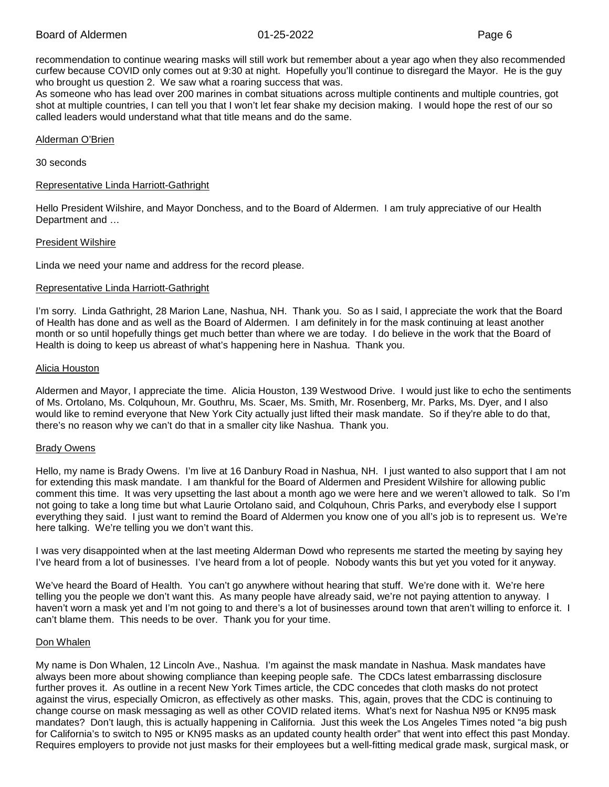recommendation to continue wearing masks will still work but remember about a year ago when they also recommended curfew because COVID only comes out at 9:30 at night. Hopefully you'll continue to disregard the Mayor. He is the guy who brought us question 2. We saw what a roaring success that was.

As someone who has lead over 200 marines in combat situations across multiple continents and multiple countries, got shot at multiple countries, I can tell you that I won't let fear shake my decision making. I would hope the rest of our so called leaders would understand what that title means and do the same.

#### Alderman O'Brien

#### 30 seconds

#### Representative Linda Harriott-Gathright

Hello President Wilshire, and Mayor Donchess, and to the Board of Aldermen. I am truly appreciative of our Health Department and …

#### President Wilshire

Linda we need your name and address for the record please.

#### Representative Linda Harriott-Gathright

I'm sorry. Linda Gathright, 28 Marion Lane, Nashua, NH. Thank you. So as I said, I appreciate the work that the Board of Health has done and as well as the Board of Aldermen. I am definitely in for the mask continuing at least another month or so until hopefully things get much better than where we are today. I do believe in the work that the Board of Health is doing to keep us abreast of what's happening here in Nashua. Thank you.

#### Alicia Houston

Aldermen and Mayor, I appreciate the time. Alicia Houston, 139 Westwood Drive. I would just like to echo the sentiments of Ms. Ortolano, Ms. Colquhoun, Mr. Gouthru, Ms. Scaer, Ms. Smith, Mr. Rosenberg, Mr. Parks, Ms. Dyer, and I also would like to remind everyone that New York City actually just lifted their mask mandate. So if they're able to do that, there's no reason why we can't do that in a smaller city like Nashua. Thank you.

#### Brady Owens

Hello, my name is Brady Owens. I'm live at 16 Danbury Road in Nashua, NH. I just wanted to also support that I am not for extending this mask mandate. I am thankful for the Board of Aldermen and President Wilshire for allowing public comment this time. It was very upsetting the last about a month ago we were here and we weren't allowed to talk. So I'm not going to take a long time but what Laurie Ortolano said, and Colquhoun, Chris Parks, and everybody else I support everything they said. I just want to remind the Board of Aldermen you know one of you all's job is to represent us. We're here talking. We're telling you we don't want this.

I was very disappointed when at the last meeting Alderman Dowd who represents me started the meeting by saying hey I've heard from a lot of businesses. I've heard from a lot of people. Nobody wants this but yet you voted for it anyway.

We've heard the Board of Health. You can't go anywhere without hearing that stuff. We're done with it. We're here telling you the people we don't want this. As many people have already said, we're not paying attention to anyway. I haven't worn a mask yet and I'm not going to and there's a lot of businesses around town that aren't willing to enforce it. I can't blame them. This needs to be over. Thank you for your time.

#### Don Whalen

My name is Don Whalen, 12 Lincoln Ave., Nashua. I'm against the mask mandate in Nashua. Mask mandates have always been more about showing compliance than keeping people safe. The CDCs latest embarrassing disclosure further proves it. As outline in a recent New York Times article, the CDC concedes that cloth masks do not protect against the virus, especially Omicron, as effectively as other masks. This, again, proves that the CDC is continuing to change course on mask messaging as well as other COVID related items. What's next for Nashua N95 or KN95 mask mandates? Don't laugh, this is actually happening in California. Just this week the Los Angeles Times noted "a big push for California's to switch to N95 or KN95 masks as an updated county health order" that went into effect this past Monday. Requires employers to provide not just masks for their employees but a well-fitting medical grade mask, surgical mask, or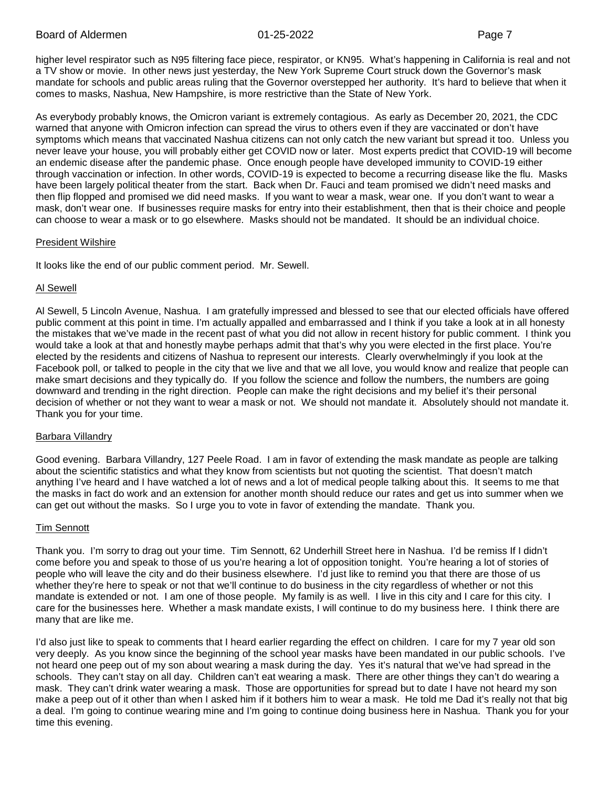higher level respirator such as N95 filtering face piece, respirator, or KN95. What's happening in California is real and not a TV show or movie. In other news just yesterday, the New York Supreme Court struck down the Governor's mask mandate for schools and public areas ruling that the Governor overstepped her authority. It's hard to believe that when it comes to masks, Nashua, New Hampshire, is more restrictive than the State of New York.

As everybody probably knows, the Omicron variant is extremely contagious. As early as December 20, 2021, the CDC warned that anyone with Omicron infection can spread the virus to others even if they are vaccinated or don't have symptoms which means that vaccinated Nashua citizens can not only catch the new variant but spread it too. Unless you never leave your house, you will probably either get COVID now or later. Most experts predict that COVID-19 will become an endemic disease after the pandemic phase. Once enough people have developed immunity to COVID-19 either through vaccination or infection. In other words, COVID-19 is expected to become a recurring disease like the flu. Masks have been largely political theater from the start. Back when Dr. Fauci and team promised we didn't need masks and then flip flopped and promised we did need masks. If you want to wear a mask, wear one. If you don't want to wear a mask, don't wear one. If businesses require masks for entry into their establishment, then that is their choice and people can choose to wear a mask or to go elsewhere. Masks should not be mandated. It should be an individual choice.

# President Wilshire

It looks like the end of our public comment period. Mr. Sewell.

# Al Sewell

Al Sewell, 5 Lincoln Avenue, Nashua. I am gratefully impressed and blessed to see that our elected officials have offered public comment at this point in time. I'm actually appalled and embarrassed and I think if you take a look at in all honesty the mistakes that we've made in the recent past of what you did not allow in recent history for public comment. I think you would take a look at that and honestly maybe perhaps admit that that's why you were elected in the first place. You're elected by the residents and citizens of Nashua to represent our interests. Clearly overwhelmingly if you look at the Facebook poll, or talked to people in the city that we live and that we all love, you would know and realize that people can make smart decisions and they typically do. If you follow the science and follow the numbers, the numbers are going downward and trending in the right direction. People can make the right decisions and my belief it's their personal decision of whether or not they want to wear a mask or not. We should not mandate it. Absolutely should not mandate it. Thank you for your time.

# **Barbara Villandry**

Good evening. Barbara Villandry, 127 Peele Road. I am in favor of extending the mask mandate as people are talking about the scientific statistics and what they know from scientists but not quoting the scientist. That doesn't match anything I've heard and I have watched a lot of news and a lot of medical people talking about this. It seems to me that the masks in fact do work and an extension for another month should reduce our rates and get us into summer when we can get out without the masks. So I urge you to vote in favor of extending the mandate. Thank you.

# Tim Sennott

Thank you. I'm sorry to drag out your time. Tim Sennott, 62 Underhill Street here in Nashua. I'd be remiss If I didn't come before you and speak to those of us you're hearing a lot of opposition tonight. You're hearing a lot of stories of people who will leave the city and do their business elsewhere. I'd just like to remind you that there are those of us whether they're here to speak or not that we'll continue to do business in the city regardless of whether or not this mandate is extended or not. I am one of those people. My family is as well. I live in this city and I care for this city. I care for the businesses here. Whether a mask mandate exists, I will continue to do my business here. I think there are many that are like me.

I'd also just like to speak to comments that I heard earlier regarding the effect on children. I care for my 7 year old son very deeply. As you know since the beginning of the school year masks have been mandated in our public schools. I've not heard one peep out of my son about wearing a mask during the day. Yes it's natural that we've had spread in the schools. They can't stay on all day. Children can't eat wearing a mask. There are other things they can't do wearing a mask. They can't drink water wearing a mask. Those are opportunities for spread but to date I have not heard my son make a peep out of it other than when I asked him if it bothers him to wear a mask. He told me Dad it's really not that big a deal. I'm going to continue wearing mine and I'm going to continue doing business here in Nashua. Thank you for your time this evening.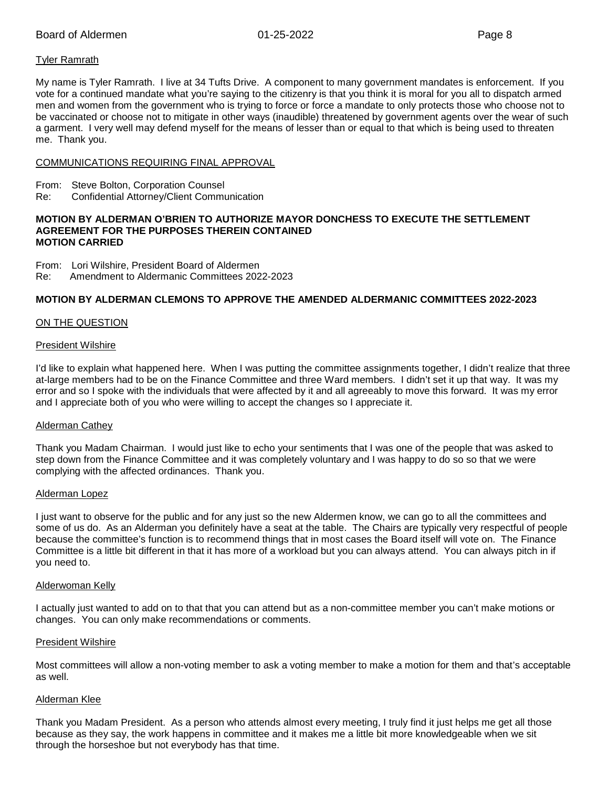# Tyler Ramrath

My name is Tyler Ramrath. I live at 34 Tufts Drive. A component to many government mandates is enforcement. If you vote for a continued mandate what you're saying to the citizenry is that you think it is moral for you all to dispatch armed men and women from the government who is trying to force or force a mandate to only protects those who choose not to be vaccinated or choose not to mitigate in other ways (inaudible) threatened by government agents over the wear of such a garment. I very well may defend myself for the means of lesser than or equal to that which is being used to threaten me. Thank you.

#### COMMUNICATIONS REQUIRING FINAL APPROVAL

- From: Steve Bolton, Corporation Counsel
- Re: Confidential Attorney/Client Communication

#### **MOTION BY ALDERMAN O'BRIEN TO AUTHORIZE MAYOR DONCHESS TO EXECUTE THE SETTLEMENT AGREEMENT FOR THE PURPOSES THEREIN CONTAINED MOTION CARRIED**

From: Lori Wilshire, President Board of Aldermen

Re: Amendment to Aldermanic Committees 2022-2023

# **MOTION BY ALDERMAN CLEMONS TO APPROVE THE AMENDED ALDERMANIC COMMITTEES 2022-2023**

# ON THE QUESTION

#### President Wilshire

I'd like to explain what happened here. When I was putting the committee assignments together, I didn't realize that three at-large members had to be on the Finance Committee and three Ward members. I didn't set it up that way. It was my error and so I spoke with the individuals that were affected by it and all agreeably to move this forward. It was my error and I appreciate both of you who were willing to accept the changes so I appreciate it.

#### Alderman Cathey

Thank you Madam Chairman. I would just like to echo your sentiments that I was one of the people that was asked to step down from the Finance Committee and it was completely voluntary and I was happy to do so so that we were complying with the affected ordinances. Thank you.

#### Alderman Lopez

I just want to observe for the public and for any just so the new Aldermen know, we can go to all the committees and some of us do. As an Alderman you definitely have a seat at the table. The Chairs are typically very respectful of people because the committee's function is to recommend things that in most cases the Board itself will vote on. The Finance Committee is a little bit different in that it has more of a workload but you can always attend. You can always pitch in if you need to.

#### Alderwoman Kelly

I actually just wanted to add on to that that you can attend but as a non-committee member you can't make motions or changes. You can only make recommendations or comments.

#### President Wilshire

Most committees will allow a non-voting member to ask a voting member to make a motion for them and that's acceptable as well.

#### Alderman Klee

Thank you Madam President. As a person who attends almost every meeting, I truly find it just helps me get all those because as they say, the work happens in committee and it makes me a little bit more knowledgeable when we sit through the horseshoe but not everybody has that time.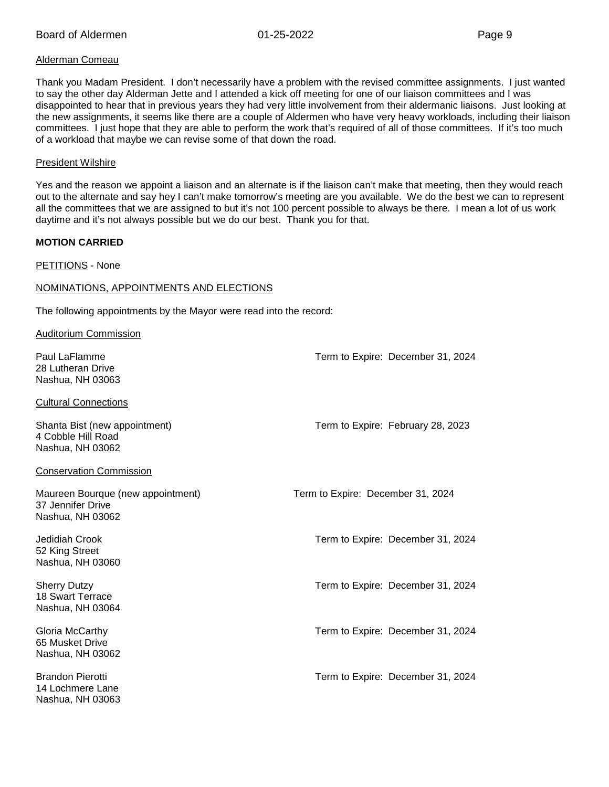# Alderman Comeau

Thank you Madam President. I don't necessarily have a problem with the revised committee assignments. I just wanted to say the other day Alderman Jette and I attended a kick off meeting for one of our liaison committees and I was disappointed to hear that in previous years they had very little involvement from their aldermanic liaisons. Just looking at the new assignments, it seems like there are a couple of Aldermen who have very heavy workloads, including their liaison committees. I just hope that they are able to perform the work that's required of all of those committees. If it's too much of a workload that maybe we can revise some of that down the road.

#### President Wilshire

Yes and the reason we appoint a liaison and an alternate is if the liaison can't make that meeting, then they would reach out to the alternate and say hey I can't make tomorrow's meeting are you available. We do the best we can to represent all the committees that we are assigned to but it's not 100 percent possible to always be there. I mean a lot of us work daytime and it's not always possible but we do our best. Thank you for that.

# **MOTION CARRIED**

PETITIONS - None

# NOMINATIONS, APPOINTMENTS AND ELECTIONS

The following appointments by the Mayor were read into the record:

#### Auditorium Commission

| Paul LaFlamme<br>28 Lutheran Drive<br>Nashua, NH 03063                     | Term to Expire: December 31, 2024 |
|----------------------------------------------------------------------------|-----------------------------------|
| <b>Cultural Connections</b>                                                |                                   |
| Shanta Bist (new appointment)<br>4 Cobble Hill Road<br>Nashua, NH 03062    | Term to Expire: February 28, 2023 |
| <b>Conservation Commission</b>                                             |                                   |
| Maureen Bourque (new appointment)<br>37 Jennifer Drive<br>Nashua, NH 03062 | Term to Expire: December 31, 2024 |
| Jedidiah Crook<br>52 King Street<br>Nashua, NH 03060                       | Term to Expire: December 31, 2024 |
| <b>Sherry Dutzy</b><br>18 Swart Terrace<br>Nashua, NH 03064                | Term to Expire: December 31, 2024 |
| Gloria McCarthy<br>65 Musket Drive<br>Nashua, NH 03062                     | Term to Expire: December 31, 2024 |
| <b>Brandon Pierotti</b><br>14 Lochmere Lane<br>Nashua. NH 03063            | Term to Expire: December 31, 2024 |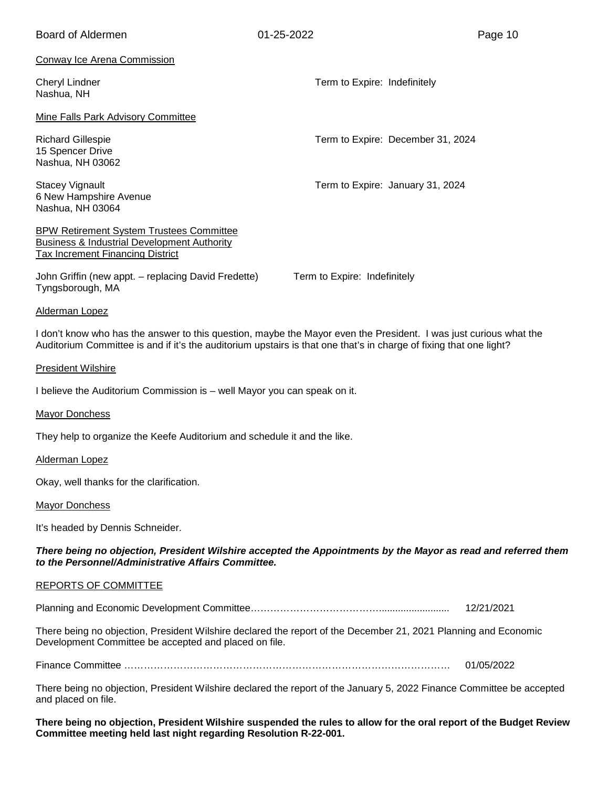| <b>Board of Aldermen</b>                                                                                                                                                                                                                | 01-25-2022                        | Page 10    |
|-----------------------------------------------------------------------------------------------------------------------------------------------------------------------------------------------------------------------------------------|-----------------------------------|------------|
| <b>Conway Ice Arena Commission</b>                                                                                                                                                                                                      |                                   |            |
| <b>Cheryl Lindner</b><br>Nashua, NH                                                                                                                                                                                                     | Term to Expire: Indefinitely      |            |
| Mine Falls Park Advisory Committee                                                                                                                                                                                                      |                                   |            |
| <b>Richard Gillespie</b><br>15 Spencer Drive<br>Nashua, NH 03062                                                                                                                                                                        | Term to Expire: December 31, 2024 |            |
| <b>Stacey Vignault</b><br>6 New Hampshire Avenue<br>Nashua, NH 03064                                                                                                                                                                    | Term to Expire: January 31, 2024  |            |
| <b>BPW Retirement System Trustees Committee</b><br><b>Business &amp; Industrial Development Authority</b><br><b>Tax Increment Financing District</b>                                                                                    |                                   |            |
| John Griffin (new appt. – replacing David Fredette)<br>Tyngsborough, MA                                                                                                                                                                 | Term to Expire: Indefinitely      |            |
| Alderman Lopez                                                                                                                                                                                                                          |                                   |            |
| I don't know who has the answer to this question, maybe the Mayor even the President. I was just curious what the<br>Auditorium Committee is and if it's the auditorium upstairs is that one that's in charge of fixing that one light? |                                   |            |
| <b>President Wilshire</b>                                                                                                                                                                                                               |                                   |            |
| I believe the Auditorium Commission is - well Mayor you can speak on it.                                                                                                                                                                |                                   |            |
| <b>Mayor Donchess</b>                                                                                                                                                                                                                   |                                   |            |
| They help to organize the Keefe Auditorium and schedule it and the like.                                                                                                                                                                |                                   |            |
| <b>Alderman Lopez</b>                                                                                                                                                                                                                   |                                   |            |
| Okay, well thanks for the clarification.                                                                                                                                                                                                |                                   |            |
| <b>Mayor Donchess</b>                                                                                                                                                                                                                   |                                   |            |
| It's headed by Dennis Schneider.                                                                                                                                                                                                        |                                   |            |
| There being no objection, President Wilshire accepted the Appointments by the Mayor as read and referred them<br>to the Personnel/Administrative Affairs Committee.                                                                     |                                   |            |
| REPORTS OF COMMITTEE                                                                                                                                                                                                                    |                                   |            |
|                                                                                                                                                                                                                                         |                                   | 12/21/2021 |
| There being no objection, President Wilshire declared the report of the December 21, 2021 Planning and Economic<br>Development Committee be accepted and placed on file.                                                                |                                   |            |
|                                                                                                                                                                                                                                         |                                   | 01/05/2022 |
| There being no objection, President Wilshire declared the report of the January 5, 2022 Finance Committee be accepted<br>and placed on file.                                                                                            |                                   |            |

**There being no objection, President Wilshire suspended the rules to allow for the oral report of the Budget Review Committee meeting held last night regarding Resolution R-22-001.**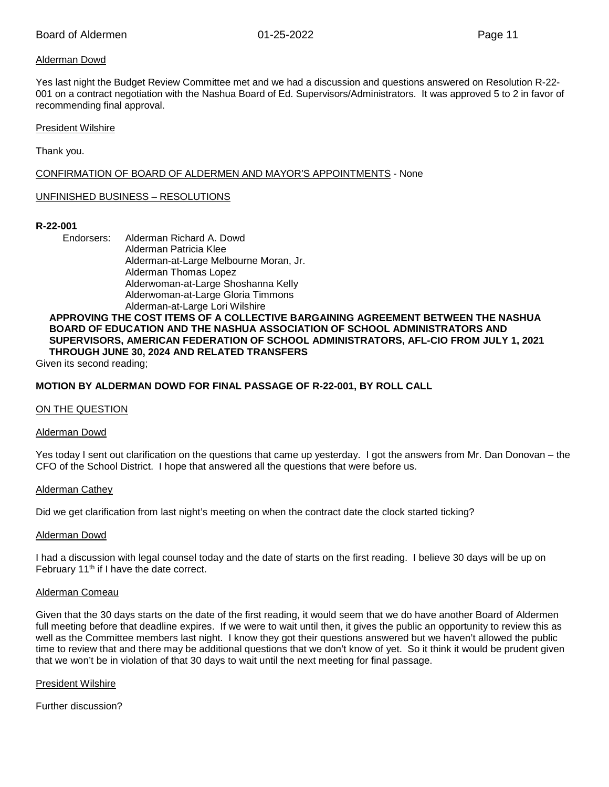# Alderman Dowd

Yes last night the Budget Review Committee met and we had a discussion and questions answered on Resolution R-22- 001 on a contract negotiation with the Nashua Board of Ed. Supervisors/Administrators. It was approved 5 to 2 in favor of recommending final approval.

#### President Wilshire

Thank you.

CONFIRMATION OF BOARD OF ALDERMEN AND MAYOR'S APPOINTMENTS - None

# UNFINISHED BUSINESS – RESOLUTIONS

#### **R-22-001**

Endorsers: Alderman Richard A. Dowd Alderman Patricia Klee Alderman-at-Large Melbourne Moran, Jr. Alderman Thomas Lopez Alderwoman-at-Large Shoshanna Kelly Alderwoman-at-Large Gloria Timmons Alderman-at-Large Lori Wilshire

# **APPROVING THE COST ITEMS OF A COLLECTIVE BARGAINING AGREEMENT BETWEEN THE NASHUA BOARD OF EDUCATION AND THE NASHUA ASSOCIATION OF SCHOOL ADMINISTRATORS AND SUPERVISORS, AMERICAN FEDERATION OF SCHOOL ADMINISTRATORS, AFL-CIO FROM JULY 1, 2021 THROUGH JUNE 30, 2024 AND RELATED TRANSFERS**

Given its second reading;

# **MOTION BY ALDERMAN DOWD FOR FINAL PASSAGE OF R-22-001, BY ROLL CALL**

#### ON THE QUESTION

#### Alderman Dowd

Yes today I sent out clarification on the questions that came up yesterday. I got the answers from Mr. Dan Donovan – the CFO of the School District. I hope that answered all the questions that were before us.

#### Alderman Cathey

Did we get clarification from last night's meeting on when the contract date the clock started ticking?

#### Alderman Dowd

I had a discussion with legal counsel today and the date of starts on the first reading. I believe 30 days will be up on February 11<sup>th</sup> if I have the date correct.

#### Alderman Comeau

Given that the 30 days starts on the date of the first reading, it would seem that we do have another Board of Aldermen full meeting before that deadline expires. If we were to wait until then, it gives the public an opportunity to review this as well as the Committee members last night. I know they got their questions answered but we haven't allowed the public time to review that and there may be additional questions that we don't know of yet. So it think it would be prudent given that we won't be in violation of that 30 days to wait until the next meeting for final passage.

#### President Wilshire

Further discussion?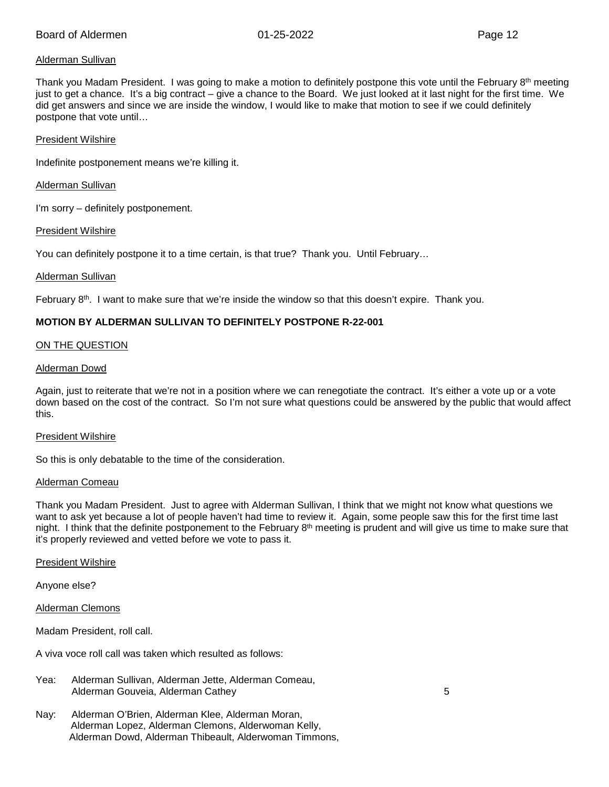# Alderman Sullivan

Thank you Madam President. I was going to make a motion to definitely postpone this vote until the February  $8<sup>th</sup>$  meeting just to get a chance. It's a big contract – give a chance to the Board. We just looked at it last night for the first time. We did get answers and since we are inside the window, I would like to make that motion to see if we could definitely postpone that vote until…

#### President Wilshire

Indefinite postponement means we're killing it.

Alderman Sullivan

I'm sorry – definitely postponement.

#### President Wilshire

You can definitely postpone it to a time certain, is that true? Thank you. Until February…

#### Alderman Sullivan

February  $8<sup>th</sup>$ . I want to make sure that we're inside the window so that this doesn't expire. Thank you.

# **MOTION BY ALDERMAN SULLIVAN TO DEFINITELY POSTPONE R-22-001**

#### ON THE QUESTION

#### Alderman Dowd

Again, just to reiterate that we're not in a position where we can renegotiate the contract. It's either a vote up or a vote down based on the cost of the contract. So I'm not sure what questions could be answered by the public that would affect this.

#### President Wilshire

So this is only debatable to the time of the consideration.

#### Alderman Comeau

Thank you Madam President. Just to agree with Alderman Sullivan, I think that we might not know what questions we want to ask yet because a lot of people haven't had time to review it. Again, some people saw this for the first time last night. I think that the definite postponement to the February  $8<sup>th</sup>$  meeting is prudent and will give us time to make sure that it's properly reviewed and vetted before we vote to pass it.

#### President Wilshire

Anyone else?

Alderman Clemons

Madam President, roll call.

A viva voce roll call was taken which resulted as follows:

| Yea: | Alderman Sullivan, Alderman Jette, Alderman Comeau, |  |
|------|-----------------------------------------------------|--|
|      | Alderman Gouveia, Alderman Cathey                   |  |

Nay: Alderman O'Brien, Alderman Klee, Alderman Moran, Alderman Lopez, Alderman Clemons, Alderwoman Kelly, Alderman Dowd, Alderman Thibeault, Alderwoman Timmons,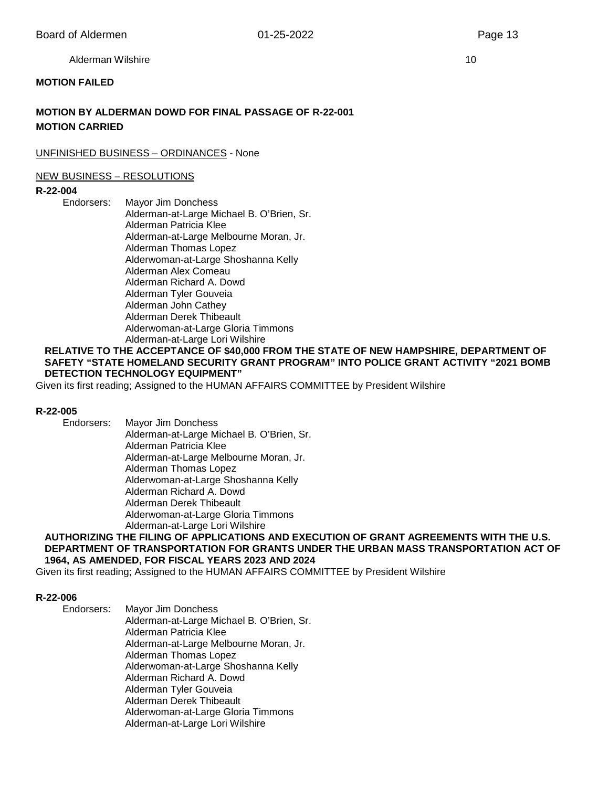Alderman Wilshire 10 and 10 and 10 and 10 and 10 and 10 and 10 and 10 and 10 and 10 and 10 and 10 and 10 and 10

#### **MOTION FAILED**

# **MOTION BY ALDERMAN DOWD FOR FINAL PASSAGE OF R-22-001 MOTION CARRIED**

#### UNFINISHED BUSINESS – ORDINANCES - None

#### NEW BUSINESS – RESOLUTIONS

# **R-22-004**

**Mayor Jim Donchess** Alderman-at-Large Michael B. O'Brien, Sr. Alderman Patricia Klee Alderman-at-Large Melbourne Moran, Jr. Alderman Thomas Lopez Alderwoman-at-Large Shoshanna Kelly Alderman Alex Comeau Alderman Richard A. Dowd Alderman Tyler Gouveia Alderman John Cathey Alderman Derek Thibeault Alderwoman-at-Large Gloria Timmons Alderman-at-Large Lori Wilshire

#### **RELATIVE TO THE ACCEPTANCE OF \$40,000 FROM THE STATE OF NEW HAMPSHIRE, DEPARTMENT OF SAFETY "STATE HOMELAND SECURITY GRANT PROGRAM" INTO POLICE GRANT ACTIVITY "2021 BOMB DETECTION TECHNOLOGY EQUIPMENT"**

Given its first reading; Assigned to the HUMAN AFFAIRS COMMITTEE by President Wilshire

#### **R-22-005**

Endorsers: Mayor Jim Donchess

Alderman-at-Large Michael B. O'Brien, Sr. Alderman Patricia Klee Alderman-at-Large Melbourne Moran, Jr. Alderman Thomas Lopez Alderwoman-at-Large Shoshanna Kelly Alderman Richard A. Dowd Alderman Derek Thibeault Alderwoman-at-Large Gloria Timmons Alderman-at-Large Lori Wilshire

#### **AUTHORIZING THE FILING OF APPLICATIONS AND EXECUTION OF GRANT AGREEMENTS WITH THE U.S. DEPARTMENT OF TRANSPORTATION FOR GRANTS UNDER THE URBAN MASS TRANSPORTATION ACT OF 1964, AS AMENDED, FOR FISCAL YEARS 2023 AND 2024**

Given its first reading; Assigned to the HUMAN AFFAIRS COMMITTEE by President Wilshire

#### **R-22-006**

Endorsers: Mayor Jim Donchess Alderman-at-Large Michael B. O'Brien, Sr. Alderman Patricia Klee Alderman-at-Large Melbourne Moran, Jr. Alderman Thomas Lopez Alderwoman-at-Large Shoshanna Kelly Alderman Richard A. Dowd Alderman Tyler Gouveia Alderman Derek Thibeault Alderwoman-at-Large Gloria Timmons Alderman-at-Large Lori Wilshire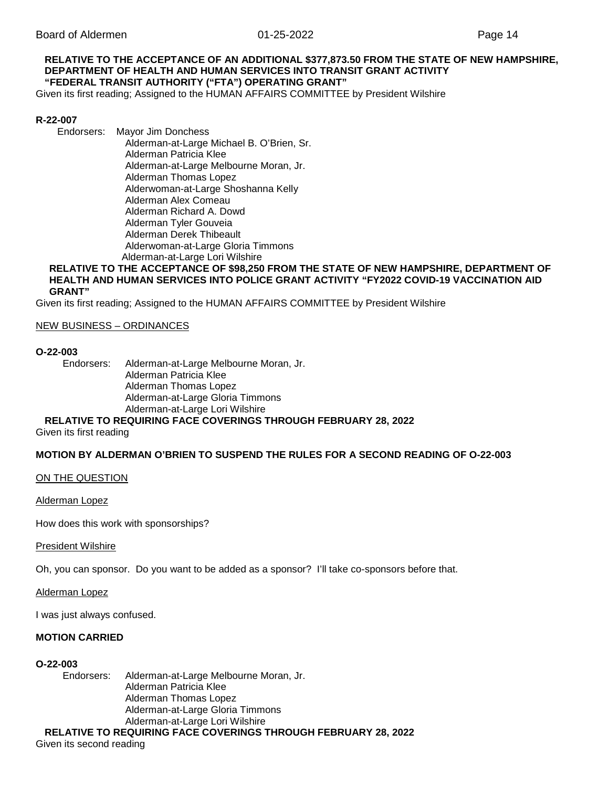#### **RELATIVE TO THE ACCEPTANCE OF AN ADDITIONAL \$377,873.50 FROM THE STATE OF NEW HAMPSHIRE, DEPARTMENT OF HEALTH AND HUMAN SERVICES INTO TRANSIT GRANT ACTIVITY "FEDERAL TRANSIT AUTHORITY ("FTA") OPERATING GRANT"**

Given its first reading; Assigned to the HUMAN AFFAIRS COMMITTEE by President Wilshire

#### **R-22-007**

Endorsers: Mayor Jim Donchess

Alderman-at-Large Michael B. O'Brien, Sr. Alderman Patricia Klee Alderman-at-Large Melbourne Moran, Jr. Alderman Thomas Lopez Alderwoman-at-Large Shoshanna Kelly Alderman Alex Comeau Alderman Richard A. Dowd Alderman Tyler Gouveia Alderman Derek Thibeault Alderwoman-at-Large Gloria Timmons Alderman-at-Large Lori Wilshire

#### **RELATIVE TO THE ACCEPTANCE OF \$98,250 FROM THE STATE OF NEW HAMPSHIRE, DEPARTMENT OF HEALTH AND HUMAN SERVICES INTO POLICE GRANT ACTIVITY "FY2022 COVID-19 VACCINATION AID GRANT"**

Given its first reading; Assigned to the HUMAN AFFAIRS COMMITTEE by President Wilshire

#### NEW BUSINESS – ORDINANCES

# **O-22-003**

Alderman-at-Large Melbourne Moran, Jr. Alderman Patricia Klee Alderman Thomas Lopez Alderman-at-Large Gloria Timmons Alderman-at-Large Lori Wilshire

#### **RELATIVE TO REQUIRING FACE COVERINGS THROUGH FEBRUARY 28, 2022**

Given its first reading

#### **MOTION BY ALDERMAN O'BRIEN TO SUSPEND THE RULES FOR A SECOND READING OF O-22-003**

ON THE QUESTION

Alderman Lopez

How does this work with sponsorships?

#### President Wilshire

Oh, you can sponsor. Do you want to be added as a sponsor? I'll take co-sponsors before that.

Alderman Lopez

I was just always confused.

#### **MOTION CARRIED**

#### **O-22-003**

Endorsers: Alderman-at-Large Melbourne Moran, Jr. Alderman Patricia Klee Alderman Thomas Lopez Alderman-at-Large Gloria Timmons Alderman-at-Large Lori Wilshire

**RELATIVE TO REQUIRING FACE COVERINGS THROUGH FEBRUARY 28, 2022**

Given its second reading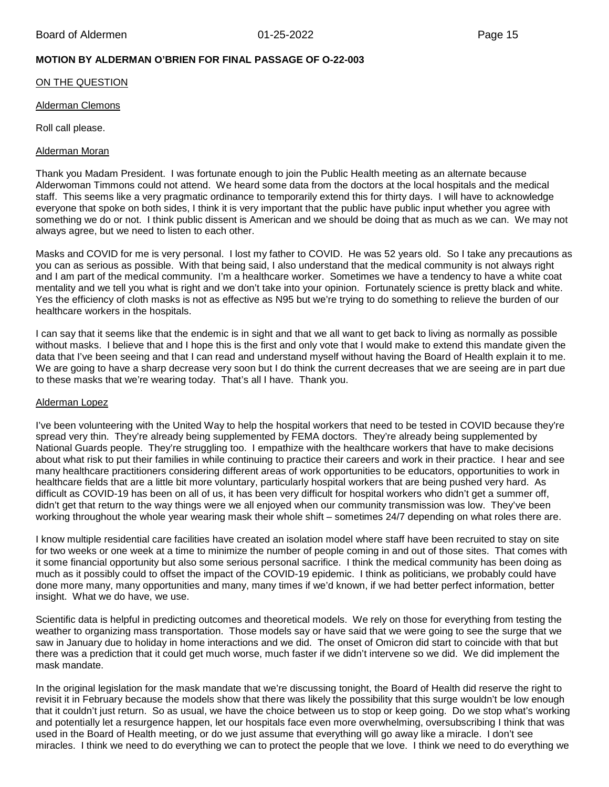# **MOTION BY ALDERMAN O'BRIEN FOR FINAL PASSAGE OF O-22-003**

#### ON THE QUESTION

#### Alderman Clemons

Roll call please.

#### Alderman Moran

Thank you Madam President. I was fortunate enough to join the Public Health meeting as an alternate because Alderwoman Timmons could not attend. We heard some data from the doctors at the local hospitals and the medical staff. This seems like a very pragmatic ordinance to temporarily extend this for thirty days. I will have to acknowledge everyone that spoke on both sides, I think it is very important that the public have public input whether you agree with something we do or not. I think public dissent is American and we should be doing that as much as we can. We may not always agree, but we need to listen to each other.

Masks and COVID for me is very personal. I lost my father to COVID. He was 52 years old. So I take any precautions as you can as serious as possible. With that being said, I also understand that the medical community is not always right and I am part of the medical community. I'm a healthcare worker. Sometimes we have a tendency to have a white coat mentality and we tell you what is right and we don't take into your opinion. Fortunately science is pretty black and white. Yes the efficiency of cloth masks is not as effective as N95 but we're trying to do something to relieve the burden of our healthcare workers in the hospitals.

I can say that it seems like that the endemic is in sight and that we all want to get back to living as normally as possible without masks. I believe that and I hope this is the first and only vote that I would make to extend this mandate given the data that I've been seeing and that I can read and understand myself without having the Board of Health explain it to me. We are going to have a sharp decrease very soon but I do think the current decreases that we are seeing are in part due to these masks that we're wearing today. That's all I have. Thank you.

#### Alderman Lopez

I've been volunteering with the United Way to help the hospital workers that need to be tested in COVID because they're spread very thin. They're already being supplemented by FEMA doctors. They're already being supplemented by National Guards people. They're struggling too. I empathize with the healthcare workers that have to make decisions about what risk to put their families in while continuing to practice their careers and work in their practice. I hear and see many healthcare practitioners considering different areas of work opportunities to be educators, opportunities to work in healthcare fields that are a little bit more voluntary, particularly hospital workers that are being pushed very hard. As difficult as COVID-19 has been on all of us, it has been very difficult for hospital workers who didn't get a summer off, didn't get that return to the way things were we all enjoyed when our community transmission was low. They've been working throughout the whole year wearing mask their whole shift – sometimes 24/7 depending on what roles there are.

I know multiple residential care facilities have created an isolation model where staff have been recruited to stay on site for two weeks or one week at a time to minimize the number of people coming in and out of those sites. That comes with it some financial opportunity but also some serious personal sacrifice. I think the medical community has been doing as much as it possibly could to offset the impact of the COVID-19 epidemic. I think as politicians, we probably could have done more many, many opportunities and many, many times if we'd known, if we had better perfect information, better insight. What we do have, we use.

Scientific data is helpful in predicting outcomes and theoretical models. We rely on those for everything from testing the weather to organizing mass transportation. Those models say or have said that we were going to see the surge that we saw in January due to holiday in home interactions and we did. The onset of Omicron did start to coincide with that but there was a prediction that it could get much worse, much faster if we didn't intervene so we did. We did implement the mask mandate.

In the original legislation for the mask mandate that we're discussing tonight, the Board of Health did reserve the right to revisit it in February because the models show that there was likely the possibility that this surge wouldn't be low enough that it couldn't just return. So as usual, we have the choice between us to stop or keep going. Do we stop what's working and potentially let a resurgence happen, let our hospitals face even more overwhelming, oversubscribing I think that was used in the Board of Health meeting, or do we just assume that everything will go away like a miracle. I don't see miracles. I think we need to do everything we can to protect the people that we love. I think we need to do everything we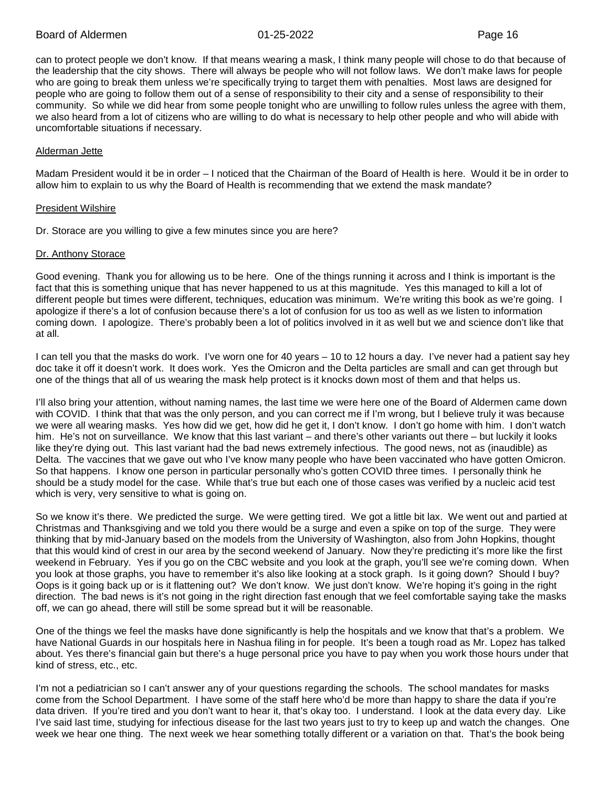can to protect people we don't know. If that means wearing a mask, I think many people will chose to do that because of the leadership that the city shows. There will always be people who will not follow laws. We don't make laws for people who are going to break them unless we're specifically trying to target them with penalties. Most laws are designed for people who are going to follow them out of a sense of responsibility to their city and a sense of responsibility to their community. So while we did hear from some people tonight who are unwilling to follow rules unless the agree with them, we also heard from a lot of citizens who are willing to do what is necessary to help other people and who will abide with uncomfortable situations if necessary.

#### Alderman Jette

Madam President would it be in order – I noticed that the Chairman of the Board of Health is here. Would it be in order to allow him to explain to us why the Board of Health is recommending that we extend the mask mandate?

#### President Wilshire

Dr. Storace are you willing to give a few minutes since you are here?

#### Dr. Anthony Storace

Good evening. Thank you for allowing us to be here. One of the things running it across and I think is important is the fact that this is something unique that has never happened to us at this magnitude. Yes this managed to kill a lot of different people but times were different, techniques, education was minimum. We're writing this book as we're going. I apologize if there's a lot of confusion because there's a lot of confusion for us too as well as we listen to information coming down. I apologize. There's probably been a lot of politics involved in it as well but we and science don't like that at all.

I can tell you that the masks do work. I've worn one for 40 years – 10 to 12 hours a day. I've never had a patient say hey doc take it off it doesn't work. It does work. Yes the Omicron and the Delta particles are small and can get through but one of the things that all of us wearing the mask help protect is it knocks down most of them and that helps us.

I'll also bring your attention, without naming names, the last time we were here one of the Board of Aldermen came down with COVID. I think that that was the only person, and you can correct me if I'm wrong, but I believe truly it was because we were all wearing masks. Yes how did we get, how did he get it, I don't know. I don't go home with him. I don't watch him. He's not on surveillance. We know that this last variant – and there's other variants out there – but luckily it looks like they're dying out. This last variant had the bad news extremely infectious. The good news, not as (inaudible) as Delta. The vaccines that we gave out who I've know many people who have been vaccinated who have gotten Omicron. So that happens. I know one person in particular personally who's gotten COVID three times. I personally think he should be a study model for the case. While that's true but each one of those cases was verified by a nucleic acid test which is very, very sensitive to what is going on.

So we know it's there. We predicted the surge. We were getting tired. We got a little bit lax. We went out and partied at Christmas and Thanksgiving and we told you there would be a surge and even a spike on top of the surge. They were thinking that by mid-January based on the models from the University of Washington, also from John Hopkins, thought that this would kind of crest in our area by the second weekend of January. Now they're predicting it's more like the first weekend in February. Yes if you go on the CBC website and you look at the graph, you'll see we're coming down. When you look at those graphs, you have to remember it's also like looking at a stock graph. Is it going down? Should I buy? Oops is it going back up or is it flattening out? We don't know. We just don't know. We're hoping it's going in the right direction. The bad news is it's not going in the right direction fast enough that we feel comfortable saying take the masks off, we can go ahead, there will still be some spread but it will be reasonable.

One of the things we feel the masks have done significantly is help the hospitals and we know that that's a problem. We have National Guards in our hospitals here in Nashua filing in for people. It's been a tough road as Mr. Lopez has talked about. Yes there's financial gain but there's a huge personal price you have to pay when you work those hours under that kind of stress, etc., etc.

I'm not a pediatrician so I can't answer any of your questions regarding the schools. The school mandates for masks come from the School Department. I have some of the staff here who'd be more than happy to share the data if you're data driven. If you're tired and you don't want to hear it, that's okay too. I understand. I look at the data every day. Like I've said last time, studying for infectious disease for the last two years just to try to keep up and watch the changes. One week we hear one thing. The next week we hear something totally different or a variation on that. That's the book being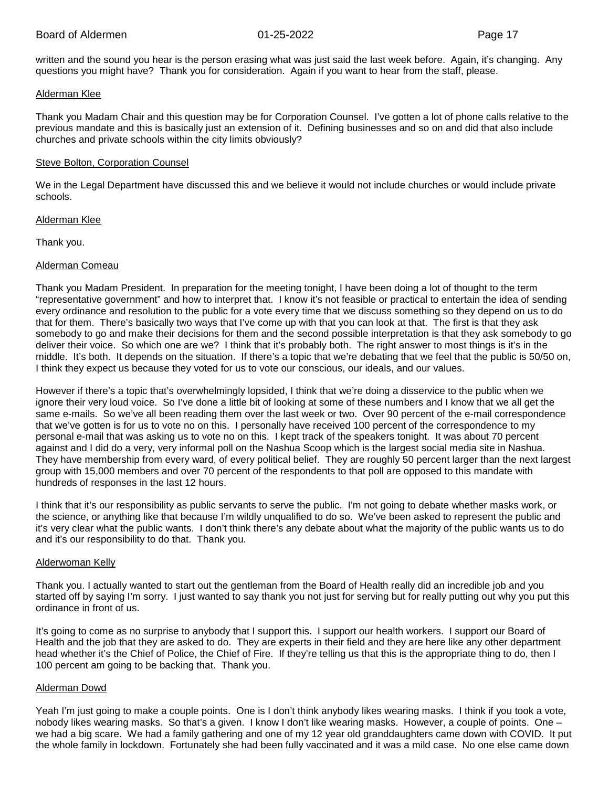written and the sound you hear is the person erasing what was just said the last week before. Again, it's changing. Any questions you might have? Thank you for consideration. Again if you want to hear from the staff, please.

#### Alderman Klee

Thank you Madam Chair and this question may be for Corporation Counsel. I've gotten a lot of phone calls relative to the previous mandate and this is basically just an extension of it. Defining businesses and so on and did that also include churches and private schools within the city limits obviously?

#### Steve Bolton, Corporation Counsel

We in the Legal Department have discussed this and we believe it would not include churches or would include private schools.

#### Alderman Klee

Thank you.

# Alderman Comeau

Thank you Madam President. In preparation for the meeting tonight, I have been doing a lot of thought to the term "representative government" and how to interpret that. I know it's not feasible or practical to entertain the idea of sending every ordinance and resolution to the public for a vote every time that we discuss something so they depend on us to do that for them. There's basically two ways that I've come up with that you can look at that. The first is that they ask somebody to go and make their decisions for them and the second possible interpretation is that they ask somebody to go deliver their voice. So which one are we? I think that it's probably both. The right answer to most things is it's in the middle. It's both. It depends on the situation. If there's a topic that we're debating that we feel that the public is 50/50 on, I think they expect us because they voted for us to vote our conscious, our ideals, and our values.

However if there's a topic that's overwhelmingly lopsided, I think that we're doing a disservice to the public when we ignore their very loud voice. So I've done a little bit of looking at some of these numbers and I know that we all get the same e-mails. So we've all been reading them over the last week or two. Over 90 percent of the e-mail correspondence that we've gotten is for us to vote no on this. I personally have received 100 percent of the correspondence to my personal e-mail that was asking us to vote no on this. I kept track of the speakers tonight. It was about 70 percent against and I did do a very, very informal poll on the Nashua Scoop which is the largest social media site in Nashua. They have membership from every ward, of every political belief. They are roughly 50 percent larger than the next largest group with 15,000 members and over 70 percent of the respondents to that poll are opposed to this mandate with hundreds of responses in the last 12 hours.

I think that it's our responsibility as public servants to serve the public. I'm not going to debate whether masks work, or the science, or anything like that because I'm wildly unqualified to do so. We've been asked to represent the public and it's very clear what the public wants. I don't think there's any debate about what the majority of the public wants us to do and it's our responsibility to do that. Thank you.

#### Alderwoman Kelly

Thank you. I actually wanted to start out the gentleman from the Board of Health really did an incredible job and you started off by saying I'm sorry. I just wanted to say thank you not just for serving but for really putting out why you put this ordinance in front of us.

It's going to come as no surprise to anybody that I support this. I support our health workers. I support our Board of Health and the job that they are asked to do. They are experts in their field and they are here like any other department head whether it's the Chief of Police, the Chief of Fire. If they're telling us that this is the appropriate thing to do, then I 100 percent am going to be backing that. Thank you.

# Alderman Dowd

Yeah I'm just going to make a couple points. One is I don't think anybody likes wearing masks. I think if you took a vote, nobody likes wearing masks. So that's a given. I know I don't like wearing masks. However, a couple of points. One – we had a big scare. We had a family gathering and one of my 12 year old granddaughters came down with COVID. It put the whole family in lockdown. Fortunately she had been fully vaccinated and it was a mild case. No one else came down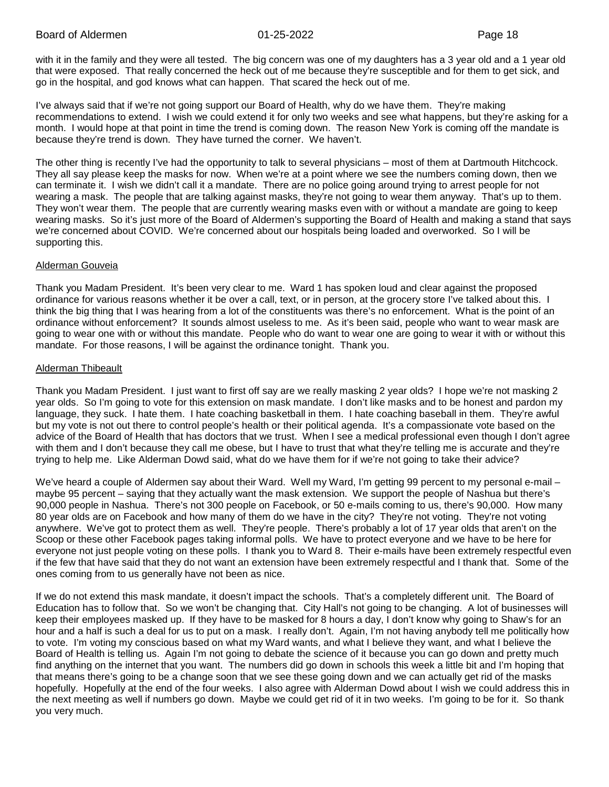with it in the family and they were all tested. The big concern was one of my daughters has a 3 year old and a 1 year old that were exposed. That really concerned the heck out of me because they're susceptible and for them to get sick, and go in the hospital, and god knows what can happen. That scared the heck out of me.

I've always said that if we're not going support our Board of Health, why do we have them. They're making recommendations to extend. I wish we could extend it for only two weeks and see what happens, but they're asking for a month. I would hope at that point in time the trend is coming down. The reason New York is coming off the mandate is because they're trend is down. They have turned the corner. We haven't.

The other thing is recently I've had the opportunity to talk to several physicians – most of them at Dartmouth Hitchcock. They all say please keep the masks for now. When we're at a point where we see the numbers coming down, then we can terminate it. I wish we didn't call it a mandate. There are no police going around trying to arrest people for not wearing a mask. The people that are talking against masks, they're not going to wear them anyway. That's up to them. They won't wear them. The people that are currently wearing masks even with or without a mandate are going to keep wearing masks. So it's just more of the Board of Aldermen's supporting the Board of Health and making a stand that says we're concerned about COVID. We're concerned about our hospitals being loaded and overworked. So I will be supporting this.

#### Alderman Gouveia

Thank you Madam President. It's been very clear to me. Ward 1 has spoken loud and clear against the proposed ordinance for various reasons whether it be over a call, text, or in person, at the grocery store I've talked about this. I think the big thing that I was hearing from a lot of the constituents was there's no enforcement. What is the point of an ordinance without enforcement? It sounds almost useless to me. As it's been said, people who want to wear mask are going to wear one with or without this mandate. People who do want to wear one are going to wear it with or without this mandate. For those reasons, I will be against the ordinance tonight. Thank you.

# Alderman Thibeault

Thank you Madam President. I just want to first off say are we really masking 2 year olds? I hope we're not masking 2 year olds. So I'm going to vote for this extension on mask mandate. I don't like masks and to be honest and pardon my language, they suck. I hate them. I hate coaching basketball in them. I hate coaching baseball in them. They're awful but my vote is not out there to control people's health or their political agenda. It's a compassionate vote based on the advice of the Board of Health that has doctors that we trust. When I see a medical professional even though I don't agree with them and I don't because they call me obese, but I have to trust that what they're telling me is accurate and they're trying to help me. Like Alderman Dowd said, what do we have them for if we're not going to take their advice?

We've heard a couple of Aldermen say about their Ward. Well my Ward, I'm getting 99 percent to my personal e-mail – maybe 95 percent – saying that they actually want the mask extension. We support the people of Nashua but there's 90,000 people in Nashua. There's not 300 people on Facebook, or 50 e-mails coming to us, there's 90,000. How many 80 year olds are on Facebook and how many of them do we have in the city? They're not voting. They're not voting anywhere. We've got to protect them as well. They're people. There's probably a lot of 17 year olds that aren't on the Scoop or these other Facebook pages taking informal polls. We have to protect everyone and we have to be here for everyone not just people voting on these polls. I thank you to Ward 8. Their e-mails have been extremely respectful even if the few that have said that they do not want an extension have been extremely respectful and I thank that. Some of the ones coming from to us generally have not been as nice.

If we do not extend this mask mandate, it doesn't impact the schools. That's a completely different unit. The Board of Education has to follow that. So we won't be changing that. City Hall's not going to be changing. A lot of businesses will keep their employees masked up. If they have to be masked for 8 hours a day, I don't know why going to Shaw's for an hour and a half is such a deal for us to put on a mask. I really don't. Again, I'm not having anybody tell me politically how to vote. I'm voting my conscious based on what my Ward wants, and what I believe they want, and what I believe the Board of Health is telling us. Again I'm not going to debate the science of it because you can go down and pretty much find anything on the internet that you want. The numbers did go down in schools this week a little bit and I'm hoping that that means there's going to be a change soon that we see these going down and we can actually get rid of the masks hopefully. Hopefully at the end of the four weeks. I also agree with Alderman Dowd about I wish we could address this in the next meeting as well if numbers go down. Maybe we could get rid of it in two weeks. I'm going to be for it. So thank you very much.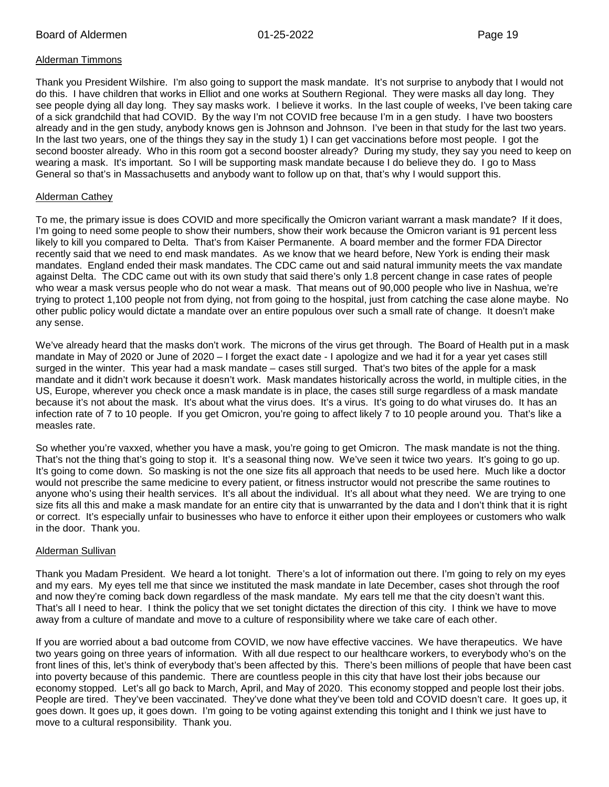# Alderman Timmons

Thank you President Wilshire. I'm also going to support the mask mandate. It's not surprise to anybody that I would not do this. I have children that works in Elliot and one works at Southern Regional. They were masks all day long. They see people dying all day long. They say masks work. I believe it works. In the last couple of weeks, I've been taking care of a sick grandchild that had COVID. By the way I'm not COVID free because I'm in a gen study. I have two boosters already and in the gen study, anybody knows gen is Johnson and Johnson. I've been in that study for the last two years. In the last two years, one of the things they say in the study 1) I can get vaccinations before most people. I got the second booster already. Who in this room got a second booster already? During my study, they say you need to keep on wearing a mask. It's important. So I will be supporting mask mandate because I do believe they do. I go to Mass General so that's in Massachusetts and anybody want to follow up on that, that's why I would support this.

# Alderman Cathey

To me, the primary issue is does COVID and more specifically the Omicron variant warrant a mask mandate? If it does, I'm going to need some people to show their numbers, show their work because the Omicron variant is 91 percent less likely to kill you compared to Delta. That's from Kaiser Permanente. A board member and the former FDA Director recently said that we need to end mask mandates. As we know that we heard before, New York is ending their mask mandates. England ended their mask mandates. The CDC came out and said natural immunity meets the vax mandate against Delta. The CDC came out with its own study that said there's only 1.8 percent change in case rates of people who wear a mask versus people who do not wear a mask. That means out of 90,000 people who live in Nashua, we're trying to protect 1,100 people not from dying, not from going to the hospital, just from catching the case alone maybe. No other public policy would dictate a mandate over an entire populous over such a small rate of change. It doesn't make any sense.

We've already heard that the masks don't work. The microns of the virus get through. The Board of Health put in a mask mandate in May of 2020 or June of 2020 – I forget the exact date - I apologize and we had it for a year yet cases still surged in the winter. This year had a mask mandate – cases still surged. That's two bites of the apple for a mask mandate and it didn't work because it doesn't work. Mask mandates historically across the world, in multiple cities, in the US, Europe, wherever you check once a mask mandate is in place, the cases still surge regardless of a mask mandate because it's not about the mask. It's about what the virus does. It's a virus. It's going to do what viruses do. It has an infection rate of 7 to 10 people. If you get Omicron, you're going to affect likely 7 to 10 people around you. That's like a measles rate.

So whether you're vaxxed, whether you have a mask, you're going to get Omicron. The mask mandate is not the thing. That's not the thing that's going to stop it. It's a seasonal thing now. We've seen it twice two years. It's going to go up. It's going to come down. So masking is not the one size fits all approach that needs to be used here. Much like a doctor would not prescribe the same medicine to every patient, or fitness instructor would not prescribe the same routines to anyone who's using their health services. It's all about the individual. It's all about what they need. We are trying to one size fits all this and make a mask mandate for an entire city that is unwarranted by the data and I don't think that it is right or correct. It's especially unfair to businesses who have to enforce it either upon their employees or customers who walk in the door. Thank you.

#### Alderman Sullivan

Thank you Madam President. We heard a lot tonight. There's a lot of information out there. I'm going to rely on my eyes and my ears. My eyes tell me that since we instituted the mask mandate in late December, cases shot through the roof and now they're coming back down regardless of the mask mandate. My ears tell me that the city doesn't want this. That's all I need to hear. I think the policy that we set tonight dictates the direction of this city. I think we have to move away from a culture of mandate and move to a culture of responsibility where we take care of each other.

If you are worried about a bad outcome from COVID, we now have effective vaccines. We have therapeutics. We have two years going on three years of information. With all due respect to our healthcare workers, to everybody who's on the front lines of this, let's think of everybody that's been affected by this. There's been millions of people that have been cast into poverty because of this pandemic. There are countless people in this city that have lost their jobs because our economy stopped. Let's all go back to March, April, and May of 2020. This economy stopped and people lost their jobs. People are tired. They've been vaccinated. They've done what they've been told and COVID doesn't care. It goes up, it goes down. It goes up, it goes down. I'm going to be voting against extending this tonight and I think we just have to move to a cultural responsibility. Thank you.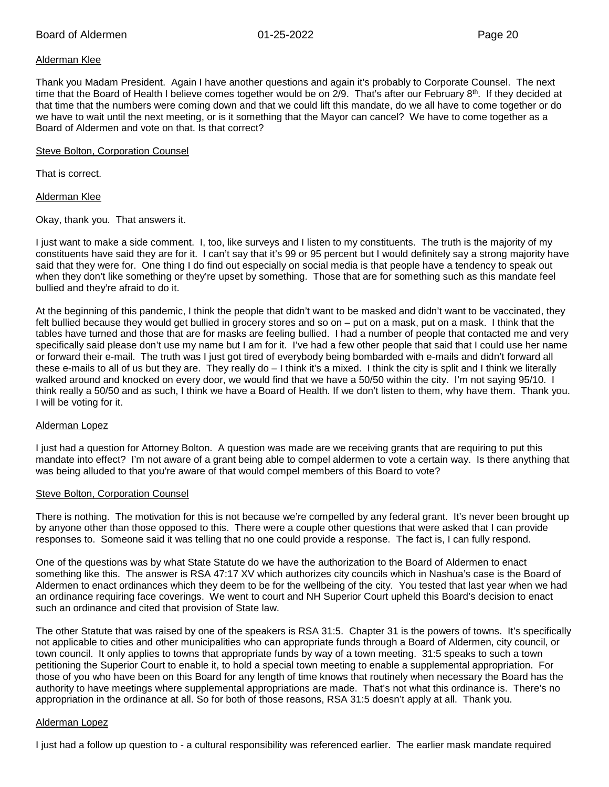#### Alderman Klee

Thank you Madam President. Again I have another questions and again it's probably to Corporate Counsel. The next time that the Board of Health I believe comes together would be on 2/9. That's after our February 8<sup>th</sup>. If they decided at that time that the numbers were coming down and that we could lift this mandate, do we all have to come together or do we have to wait until the next meeting, or is it something that the Mayor can cancel? We have to come together as a Board of Aldermen and vote on that. Is that correct?

#### Steve Bolton, Corporation Counsel

That is correct.

Alderman Klee

Okay, thank you. That answers it.

I just want to make a side comment. I, too, like surveys and I listen to my constituents. The truth is the majority of my constituents have said they are for it. I can't say that it's 99 or 95 percent but I would definitely say a strong majority have said that they were for. One thing I do find out especially on social media is that people have a tendency to speak out when they don't like something or they're upset by something. Those that are for something such as this mandate feel bullied and they're afraid to do it.

At the beginning of this pandemic, I think the people that didn't want to be masked and didn't want to be vaccinated, they felt bullied because they would get bullied in grocery stores and so on – put on a mask, put on a mask. I think that the tables have turned and those that are for masks are feeling bullied. I had a number of people that contacted me and very specifically said please don't use my name but I am for it. I've had a few other people that said that I could use her name or forward their e-mail. The truth was I just got tired of everybody being bombarded with e-mails and didn't forward all these e-mails to all of us but they are. They really do – I think it's a mixed. I think the city is split and I think we literally walked around and knocked on every door, we would find that we have a 50/50 within the city. I'm not saying 95/10. I think really a 50/50 and as such, I think we have a Board of Health. If we don't listen to them, why have them. Thank you. I will be voting for it.

#### Alderman Lopez

I just had a question for Attorney Bolton. A question was made are we receiving grants that are requiring to put this mandate into effect? I'm not aware of a grant being able to compel aldermen to vote a certain way. Is there anything that was being alluded to that you're aware of that would compel members of this Board to vote?

#### Steve Bolton, Corporation Counsel

There is nothing. The motivation for this is not because we're compelled by any federal grant. It's never been brought up by anyone other than those opposed to this. There were a couple other questions that were asked that I can provide responses to. Someone said it was telling that no one could provide a response. The fact is, I can fully respond.

One of the questions was by what State Statute do we have the authorization to the Board of Aldermen to enact something like this. The answer is RSA 47:17 XV which authorizes city councils which in Nashua's case is the Board of Aldermen to enact ordinances which they deem to be for the wellbeing of the city. You tested that last year when we had an ordinance requiring face coverings. We went to court and NH Superior Court upheld this Board's decision to enact such an ordinance and cited that provision of State law.

The other Statute that was raised by one of the speakers is RSA 31:5. Chapter 31 is the powers of towns. It's specifically not applicable to cities and other municipalities who can appropriate funds through a Board of Aldermen, city council, or town council. It only applies to towns that appropriate funds by way of a town meeting. 31:5 speaks to such a town petitioning the Superior Court to enable it, to hold a special town meeting to enable a supplemental appropriation. For those of you who have been on this Board for any length of time knows that routinely when necessary the Board has the authority to have meetings where supplemental appropriations are made. That's not what this ordinance is. There's no appropriation in the ordinance at all. So for both of those reasons, RSA 31:5 doesn't apply at all. Thank you.

#### Alderman Lopez

I just had a follow up question to - a cultural responsibility was referenced earlier. The earlier mask mandate required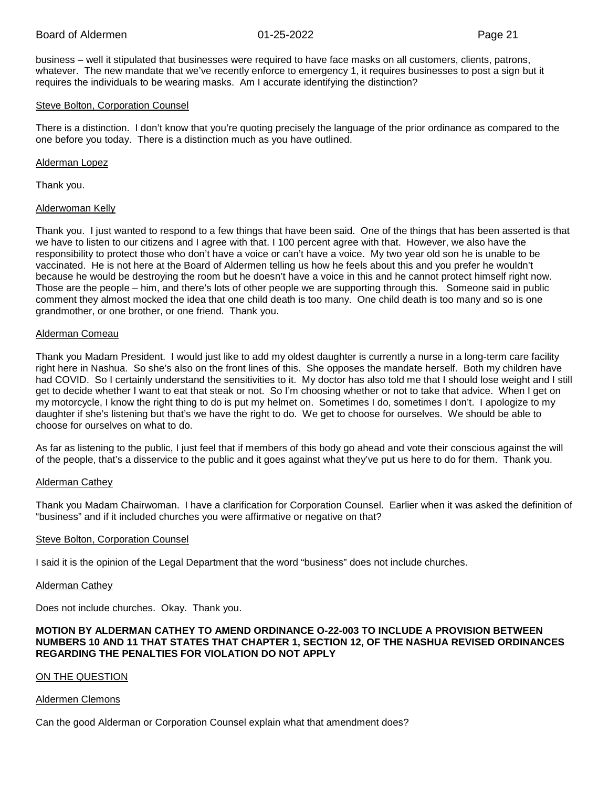business – well it stipulated that businesses were required to have face masks on all customers, clients, patrons, whatever. The new mandate that we've recently enforce to emergency 1, it requires businesses to post a sign but it requires the individuals to be wearing masks. Am I accurate identifying the distinction?

#### Steve Bolton, Corporation Counsel

There is a distinction. I don't know that you're quoting precisely the language of the prior ordinance as compared to the one before you today. There is a distinction much as you have outlined.

# Alderman Lopez

Thank you.

# Alderwoman Kelly

Thank you. I just wanted to respond to a few things that have been said. One of the things that has been asserted is that we have to listen to our citizens and I agree with that. I 100 percent agree with that. However, we also have the responsibility to protect those who don't have a voice or can't have a voice. My two year old son he is unable to be vaccinated. He is not here at the Board of Aldermen telling us how he feels about this and you prefer he wouldn't because he would be destroying the room but he doesn't have a voice in this and he cannot protect himself right now. Those are the people – him, and there's lots of other people we are supporting through this. Someone said in public comment they almost mocked the idea that one child death is too many. One child death is too many and so is one grandmother, or one brother, or one friend. Thank you.

# Alderman Comeau

Thank you Madam President. I would just like to add my oldest daughter is currently a nurse in a long-term care facility right here in Nashua. So she's also on the front lines of this. She opposes the mandate herself. Both my children have had COVID. So I certainly understand the sensitivities to it. My doctor has also told me that I should lose weight and I still get to decide whether I want to eat that steak or not. So I'm choosing whether or not to take that advice. When I get on my motorcycle, I know the right thing to do is put my helmet on. Sometimes I do, sometimes I don't. I apologize to my daughter if she's listening but that's we have the right to do. We get to choose for ourselves. We should be able to choose for ourselves on what to do.

As far as listening to the public, I just feel that if members of this body go ahead and vote their conscious against the will of the people, that's a disservice to the public and it goes against what they've put us here to do for them. Thank you.

# Alderman Cathey

Thank you Madam Chairwoman. I have a clarification for Corporation Counsel. Earlier when it was asked the definition of "business" and if it included churches you were affirmative or negative on that?

# Steve Bolton, Corporation Counsel

I said it is the opinion of the Legal Department that the word "business" does not include churches.

#### Alderman Cathey

Does not include churches. Okay. Thank you.

#### **MOTION BY ALDERMAN CATHEY TO AMEND ORDINANCE O-22-003 TO INCLUDE A PROVISION BETWEEN NUMBERS 10 AND 11 THAT STATES THAT CHAPTER 1, SECTION 12, OF THE NASHUA REVISED ORDINANCES REGARDING THE PENALTIES FOR VIOLATION DO NOT APPLY**

# ON THE QUESTION

#### Aldermen Clemons

Can the good Alderman or Corporation Counsel explain what that amendment does?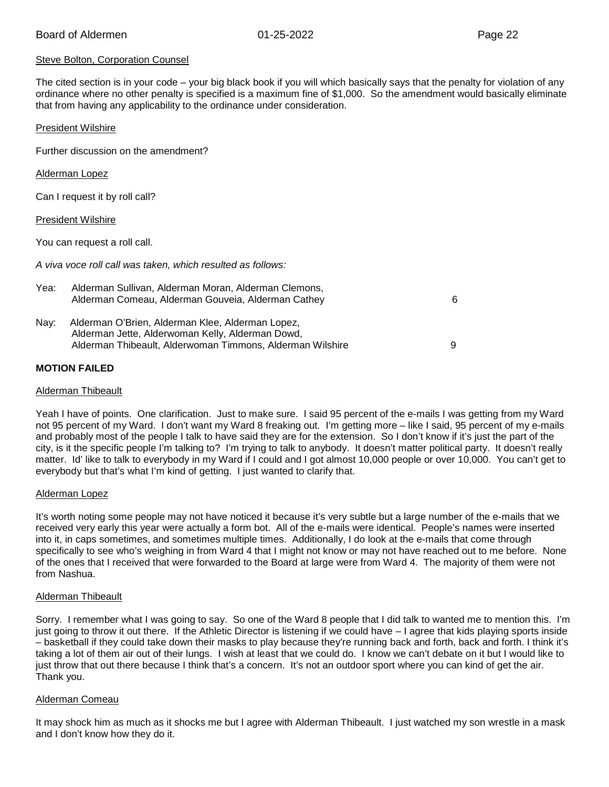# Steve Bolton, Corporation Counsel

The cited section is in your code – your big black book if you will which basically says that the penalty for violation of any ordinance where no other penalty is specified is a maximum fine of \$1,000. So the amendment would basically eliminate that from having any applicability to the ordinance under consideration.

#### President Wilshire

Further discussion on the amendment?

#### Alderman Lopez

Can I request it by roll call?

#### President Wilshire

You can request a roll call.

*A viva voce roll call was taken, which resulted as follows:*

| Yea: | Alderman Sullivan, Alderman Moran, Alderman Clemons,<br>Alderman Comeau, Alderman Gouveia, Alderman Cathey                                                        | 6 |
|------|-------------------------------------------------------------------------------------------------------------------------------------------------------------------|---|
| Nav: | Alderman O'Brien, Alderman Klee, Alderman Lopez,<br>Alderman Jette, Alderwoman Kelly, Alderman Dowd,<br>Alderman Thibeault, Alderwoman Timmons, Alderman Wilshire | 9 |

# **MOTION FAILED**

#### Alderman Thibeault

Yeah I have of points. One clarification. Just to make sure. I said 95 percent of the e-mails I was getting from my Ward not 95 percent of my Ward. I don't want my Ward 8 freaking out. I'm getting more – like I said, 95 percent of my e-mails and probably most of the people I talk to have said they are for the extension. So I don't know if it's just the part of the city, is it the specific people I'm talking to? I'm trying to talk to anybody. It doesn't matter political party. It doesn't really matter. Id' like to talk to everybody in my Ward if I could and I got almost 10,000 people or over 10,000. You can't get to everybody but that's what I'm kind of getting. I just wanted to clarify that.

#### Alderman Lopez

It's worth noting some people may not have noticed it because it's very subtle but a large number of the e-mails that we received very early this year were actually a form bot. All of the e-mails were identical. People's names were inserted into it, in caps sometimes, and sometimes multiple times. Additionally, I do look at the e-mails that come through specifically to see who's weighing in from Ward 4 that I might not know or may not have reached out to me before. None of the ones that I received that were forwarded to the Board at large were from Ward 4. The majority of them were not from Nashua.

#### Alderman Thibeault

Sorry. I remember what I was going to say. So one of the Ward 8 people that I did talk to wanted me to mention this. I'm just going to throw it out there. If the Athletic Director is listening if we could have – I agree that kids playing sports inside – basketball if they could take down their masks to play because they're running back and forth, back and forth. I think it's taking a lot of them air out of their lungs. I wish at least that we could do. I know we can't debate on it but I would like to just throw that out there because I think that's a concern. It's not an outdoor sport where you can kind of get the air. Thank you.

#### Alderman Comeau

It may shock him as much as it shocks me but I agree with Alderman Thibeault. I just watched my son wrestle in a mask and I don't know how they do it.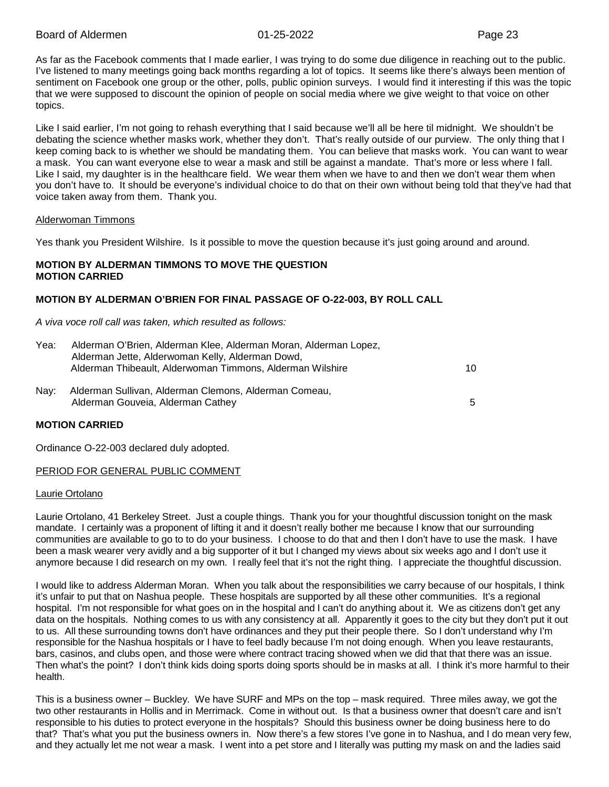As far as the Facebook comments that I made earlier, I was trying to do some due diligence in reaching out to the public. I've listened to many meetings going back months regarding a lot of topics. It seems like there's always been mention of sentiment on Facebook one group or the other, polls, public opinion surveys. I would find it interesting if this was the topic that we were supposed to discount the opinion of people on social media where we give weight to that voice on other topics.

Like I said earlier, I'm not going to rehash everything that I said because we'll all be here til midnight. We shouldn't be debating the science whether masks work, whether they don't. That's really outside of our purview. The only thing that I keep coming back to is whether we should be mandating them. You can believe that masks work. You can want to wear a mask. You can want everyone else to wear a mask and still be against a mandate. That's more or less where I fall. Like I said, my daughter is in the healthcare field. We wear them when we have to and then we don't wear them when you don't have to. It should be everyone's individual choice to do that on their own without being told that they've had that voice taken away from them. Thank you.

#### Alderwoman Timmons

Yes thank you President Wilshire. Is it possible to move the question because it's just going around and around.

# **MOTION BY ALDERMAN TIMMONS TO MOVE THE QUESTION MOTION CARRIED**

# **MOTION BY ALDERMAN O'BRIEN FOR FINAL PASSAGE OF O-22-003, BY ROLL CALL**

*A viva voce roll call was taken, which resulted as follows:*

| Yea: | Alderman O'Brien, Alderman Klee, Alderman Moran, Alderman Lopez,<br>Alderman Jette, Alderwoman Kelly, Alderman Dowd,<br>Alderman Thibeault, Alderwoman Timmons, Alderman Wilshire | 10. |
|------|-----------------------------------------------------------------------------------------------------------------------------------------------------------------------------------|-----|
| Nav: | Alderman Sullivan, Alderman Clemons, Alderman Comeau,<br>Alderman Gouveia, Alderman Cathey                                                                                        | 5.  |

#### **MOTION CARRIED**

Ordinance O-22-003 declared duly adopted.

#### PERIOD FOR GENERAL PUBLIC COMMENT

#### Laurie Ortolano

Laurie Ortolano, 41 Berkeley Street. Just a couple things. Thank you for your thoughtful discussion tonight on the mask mandate. I certainly was a proponent of lifting it and it doesn't really bother me because I know that our surrounding communities are available to go to to do your business. I choose to do that and then I don't have to use the mask. I have been a mask wearer very avidly and a big supporter of it but I changed my views about six weeks ago and I don't use it anymore because I did research on my own. I really feel that it's not the right thing. I appreciate the thoughtful discussion.

I would like to address Alderman Moran. When you talk about the responsibilities we carry because of our hospitals, I think it's unfair to put that on Nashua people. These hospitals are supported by all these other communities. It's a regional hospital. I'm not responsible for what goes on in the hospital and I can't do anything about it. We as citizens don't get any data on the hospitals. Nothing comes to us with any consistency at all. Apparently it goes to the city but they don't put it out to us. All these surrounding towns don't have ordinances and they put their people there. So I don't understand why I'm responsible for the Nashua hospitals or I have to feel badly because I'm not doing enough. When you leave restaurants, bars, casinos, and clubs open, and those were where contract tracing showed when we did that that there was an issue. Then what's the point? I don't think kids doing sports doing sports should be in masks at all. I think it's more harmful to their health.

This is a business owner – Buckley. We have SURF and MPs on the top – mask required. Three miles away, we got the two other restaurants in Hollis and in Merrimack. Come in without out. Is that a business owner that doesn't care and isn't responsible to his duties to protect everyone in the hospitals? Should this business owner be doing business here to do that? That's what you put the business owners in. Now there's a few stores I've gone in to Nashua, and I do mean very few, and they actually let me not wear a mask. I went into a pet store and I literally was putting my mask on and the ladies said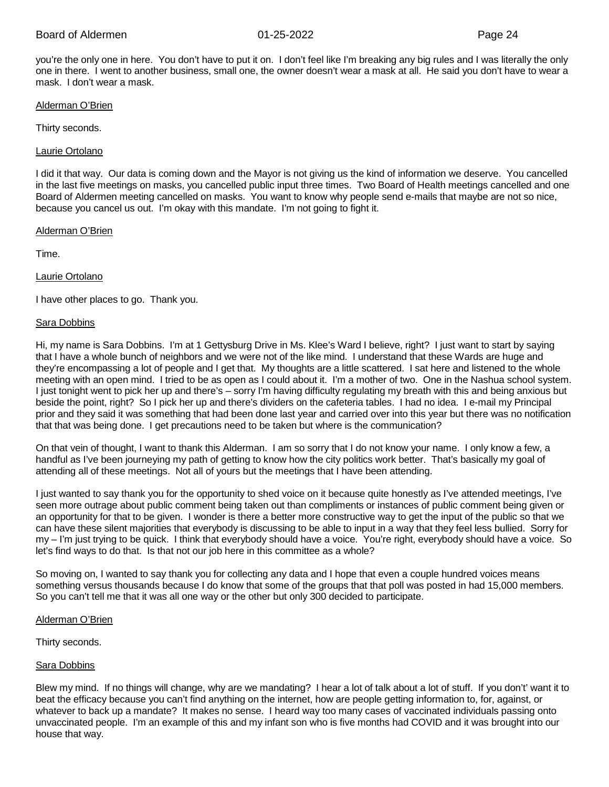you're the only one in here. You don't have to put it on. I don't feel like I'm breaking any big rules and I was literally the only one in there. I went to another business, small one, the owner doesn't wear a mask at all. He said you don't have to wear a mask. I don't wear a mask.

#### Alderman O'Brien

Thirty seconds.

#### Laurie Ortolano

I did it that way. Our data is coming down and the Mayor is not giving us the kind of information we deserve. You cancelled in the last five meetings on masks, you cancelled public input three times. Two Board of Health meetings cancelled and one Board of Aldermen meeting cancelled on masks. You want to know why people send e-mails that maybe are not so nice, because you cancel us out. I'm okay with this mandate. I'm not going to fight it.

#### Alderman O'Brien

Time.

# Laurie Ortolano

I have other places to go. Thank you.

# Sara Dobbins

Hi, my name is Sara Dobbins. I'm at 1 Gettysburg Drive in Ms. Klee's Ward I believe, right? I just want to start by saying that I have a whole bunch of neighbors and we were not of the like mind. I understand that these Wards are huge and they're encompassing a lot of people and I get that. My thoughts are a little scattered. I sat here and listened to the whole meeting with an open mind. I tried to be as open as I could about it. I'm a mother of two. One in the Nashua school system. I just tonight went to pick her up and there's – sorry I'm having difficulty regulating my breath with this and being anxious but beside the point, right? So I pick her up and there's dividers on the cafeteria tables. I had no idea. I e-mail my Principal prior and they said it was something that had been done last year and carried over into this year but there was no notification that that was being done. I get precautions need to be taken but where is the communication?

On that vein of thought, I want to thank this Alderman. I am so sorry that I do not know your name. I only know a few, a handful as I've been journeying my path of getting to know how the city politics work better. That's basically my goal of attending all of these meetings. Not all of yours but the meetings that I have been attending.

I just wanted to say thank you for the opportunity to shed voice on it because quite honestly as I've attended meetings, I've seen more outrage about public comment being taken out than compliments or instances of public comment being given or an opportunity for that to be given. I wonder is there a better more constructive way to get the input of the public so that we can have these silent majorities that everybody is discussing to be able to input in a way that they feel less bullied. Sorry for my – I'm just trying to be quick. I think that everybody should have a voice. You're right, everybody should have a voice. So let's find ways to do that. Is that not our job here in this committee as a whole?

So moving on, I wanted to say thank you for collecting any data and I hope that even a couple hundred voices means something versus thousands because I do know that some of the groups that that poll was posted in had 15,000 members. So you can't tell me that it was all one way or the other but only 300 decided to participate.

#### Alderman O'Brien

Thirty seconds.

#### **Sara Dobbins**

Blew my mind. If no things will change, why are we mandating? I hear a lot of talk about a lot of stuff. If you don't' want it to beat the efficacy because you can't find anything on the internet, how are people getting information to, for, against, or whatever to back up a mandate? It makes no sense. I heard way too many cases of vaccinated individuals passing onto unvaccinated people. I'm an example of this and my infant son who is five months had COVID and it was brought into our house that way.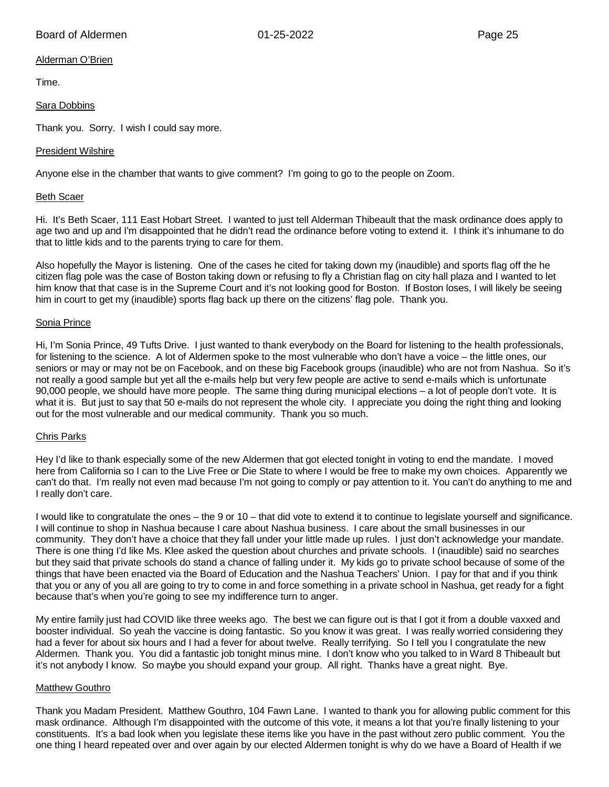# Alderman O'Brien

Time.

# Sara Dobbins

Thank you. Sorry. I wish I could say more.

# President Wilshire

Anyone else in the chamber that wants to give comment? I'm going to go to the people on Zoom.

# Beth Scaer

Hi. It's Beth Scaer, 111 East Hobart Street. I wanted to just tell Alderman Thibeault that the mask ordinance does apply to age two and up and I'm disappointed that he didn't read the ordinance before voting to extend it. I think it's inhumane to do that to little kids and to the parents trying to care for them.

Also hopefully the Mayor is listening. One of the cases he cited for taking down my (inaudible) and sports flag off the he citizen flag pole was the case of Boston taking down or refusing to fly a Christian flag on city hall plaza and I wanted to let him know that that case is in the Supreme Court and it's not looking good for Boston. If Boston loses, I will likely be seeing him in court to get my (inaudible) sports flag back up there on the citizens' flag pole. Thank you.

# Sonia Prince

Hi, I'm Sonia Prince, 49 Tufts Drive. I just wanted to thank everybody on the Board for listening to the health professionals, for listening to the science. A lot of Aldermen spoke to the most vulnerable who don't have a voice – the little ones, our seniors or may or may not be on Facebook, and on these big Facebook groups (inaudible) who are not from Nashua. So it's not really a good sample but yet all the e-mails help but very few people are active to send e-mails which is unfortunate 90,000 people, we should have more people. The same thing during municipal elections – a lot of people don't vote. It is what it is. But just to say that 50 e-mails do not represent the whole city. I appreciate you doing the right thing and looking out for the most vulnerable and our medical community. Thank you so much.

# Chris Parks

Hey I'd like to thank especially some of the new Aldermen that got elected tonight in voting to end the mandate. I moved here from California so I can to the Live Free or Die State to where I would be free to make my own choices. Apparently we can't do that. I'm really not even mad because I'm not going to comply or pay attention to it. You can't do anything to me and I really don't care.

I would like to congratulate the ones – the 9 or 10 – that did vote to extend it to continue to legislate yourself and significance. I will continue to shop in Nashua because I care about Nashua business. I care about the small businesses in our community. They don't have a choice that they fall under your little made up rules. I just don't acknowledge your mandate. There is one thing I'd like Ms. Klee asked the question about churches and private schools. I (inaudible) said no searches but they said that private schools do stand a chance of falling under it. My kids go to private school because of some of the things that have been enacted via the Board of Education and the Nashua Teachers' Union. I pay for that and if you think that you or any of you all are going to try to come in and force something in a private school in Nashua, get ready for a fight because that's when you're going to see my indifference turn to anger.

My entire family just had COVID like three weeks ago. The best we can figure out is that I got it from a double vaxxed and booster individual. So yeah the vaccine is doing fantastic. So you know it was great. I was really worried considering they had a fever for about six hours and I had a fever for about twelve. Really terrifying. So I tell you I congratulate the new Aldermen. Thank you. You did a fantastic job tonight minus mine. I don't know who you talked to in Ward 8 Thibeault but it's not anybody I know. So maybe you should expand your group. All right. Thanks have a great night. Bye.

# Matthew Gouthro

Thank you Madam President. Matthew Gouthro, 104 Fawn Lane. I wanted to thank you for allowing public comment for this mask ordinance. Although I'm disappointed with the outcome of this vote, it means a lot that you're finally listening to your constituents. It's a bad look when you legislate these items like you have in the past without zero public comment. You the one thing I heard repeated over and over again by our elected Aldermen tonight is why do we have a Board of Health if we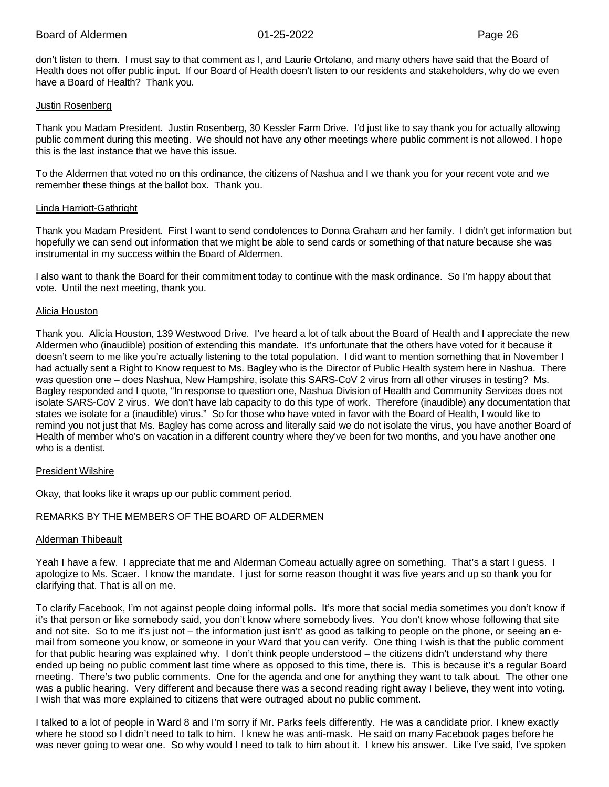don't listen to them. I must say to that comment as I, and Laurie Ortolano, and many others have said that the Board of Health does not offer public input. If our Board of Health doesn't listen to our residents and stakeholders, why do we even have a Board of Health? Thank you.

#### Justin Rosenberg

Thank you Madam President. Justin Rosenberg, 30 Kessler Farm Drive. I'd just like to say thank you for actually allowing public comment during this meeting. We should not have any other meetings where public comment is not allowed. I hope this is the last instance that we have this issue.

To the Aldermen that voted no on this ordinance, the citizens of Nashua and I we thank you for your recent vote and we remember these things at the ballot box. Thank you.

# Linda Harriott-Gathright

Thank you Madam President. First I want to send condolences to Donna Graham and her family. I didn't get information but hopefully we can send out information that we might be able to send cards or something of that nature because she was instrumental in my success within the Board of Aldermen.

I also want to thank the Board for their commitment today to continue with the mask ordinance. So I'm happy about that vote. Until the next meeting, thank you.

# Alicia Houston

Thank you. Alicia Houston, 139 Westwood Drive. I've heard a lot of talk about the Board of Health and I appreciate the new Aldermen who (inaudible) position of extending this mandate. It's unfortunate that the others have voted for it because it doesn't seem to me like you're actually listening to the total population. I did want to mention something that in November I had actually sent a Right to Know request to Ms. Bagley who is the Director of Public Health system here in Nashua. There was question one – does Nashua, New Hampshire, isolate this SARS-CoV 2 virus from all other viruses in testing? Ms. Bagley responded and I quote, "In response to question one, Nashua Division of Health and Community Services does not isolate SARS-CoV 2 virus. We don't have lab capacity to do this type of work. Therefore (inaudible) any documentation that states we isolate for a (inaudible) virus." So for those who have voted in favor with the Board of Health, I would like to remind you not just that Ms. Bagley has come across and literally said we do not isolate the virus, you have another Board of Health of member who's on vacation in a different country where they've been for two months, and you have another one who is a dentist.

#### President Wilshire

Okay, that looks like it wraps up our public comment period.

# REMARKS BY THE MEMBERS OF THE BOARD OF ALDERMEN

# Alderman Thibeault

Yeah I have a few. I appreciate that me and Alderman Comeau actually agree on something. That's a start I guess. I apologize to Ms. Scaer. I know the mandate. I just for some reason thought it was five years and up so thank you for clarifying that. That is all on me.

To clarify Facebook, I'm not against people doing informal polls. It's more that social media sometimes you don't know if it's that person or like somebody said, you don't know where somebody lives. You don't know whose following that site and not site. So to me it's just not – the information just isn't' as good as talking to people on the phone, or seeing an email from someone you know, or someone in your Ward that you can verify. One thing I wish is that the public comment for that public hearing was explained why. I don't think people understood – the citizens didn't understand why there ended up being no public comment last time where as opposed to this time, there is. This is because it's a regular Board meeting. There's two public comments. One for the agenda and one for anything they want to talk about. The other one was a public hearing. Very different and because there was a second reading right away I believe, they went into voting. I wish that was more explained to citizens that were outraged about no public comment.

I talked to a lot of people in Ward 8 and I'm sorry if Mr. Parks feels differently. He was a candidate prior. I knew exactly where he stood so I didn't need to talk to him. I knew he was anti-mask. He said on many Facebook pages before he was never going to wear one. So why would I need to talk to him about it. I knew his answer. Like I've said, I've spoken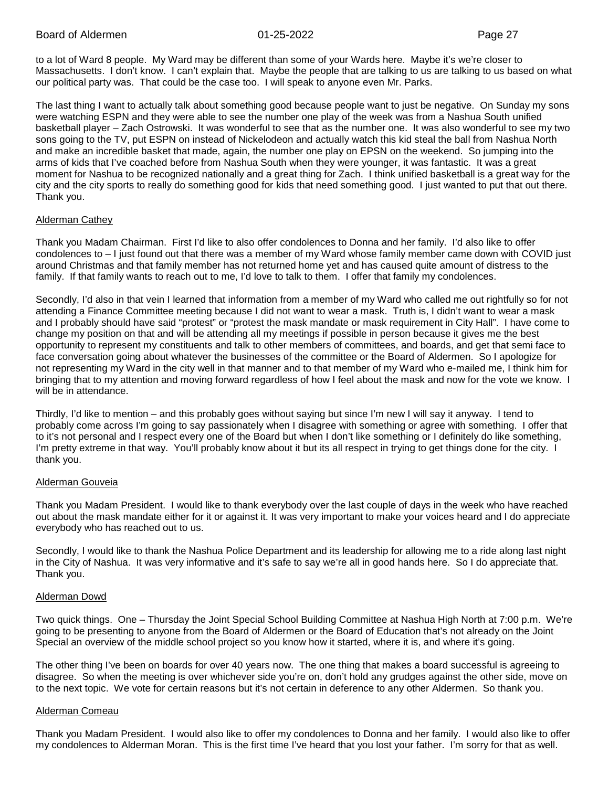to a lot of Ward 8 people. My Ward may be different than some of your Wards here. Maybe it's we're closer to Massachusetts. I don't know. I can't explain that. Maybe the people that are talking to us are talking to us based on what our political party was. That could be the case too. I will speak to anyone even Mr. Parks.

The last thing I want to actually talk about something good because people want to just be negative. On Sunday my sons were watching ESPN and they were able to see the number one play of the week was from a Nashua South unified basketball player – Zach Ostrowski. It was wonderful to see that as the number one. It was also wonderful to see my two sons going to the TV, put ESPN on instead of Nickelodeon and actually watch this kid steal the ball from Nashua North and make an incredible basket that made, again, the number one play on EPSN on the weekend. So jumping into the arms of kids that I've coached before from Nashua South when they were younger, it was fantastic. It was a great moment for Nashua to be recognized nationally and a great thing for Zach. I think unified basketball is a great way for the city and the city sports to really do something good for kids that need something good. I just wanted to put that out there. Thank you.

# Alderman Cathey

Thank you Madam Chairman. First I'd like to also offer condolences to Donna and her family. I'd also like to offer condolences to – I just found out that there was a member of my Ward whose family member came down with COVID just around Christmas and that family member has not returned home yet and has caused quite amount of distress to the family. If that family wants to reach out to me, I'd love to talk to them. I offer that family my condolences.

Secondly, I'd also in that vein I learned that information from a member of my Ward who called me out rightfully so for not attending a Finance Committee meeting because I did not want to wear a mask. Truth is, I didn't want to wear a mask and I probably should have said "protest" or "protest the mask mandate or mask requirement in City Hall". I have come to change my position on that and will be attending all my meetings if possible in person because it gives me the best opportunity to represent my constituents and talk to other members of committees, and boards, and get that semi face to face conversation going about whatever the businesses of the committee or the Board of Aldermen. So I apologize for not representing my Ward in the city well in that manner and to that member of my Ward who e-mailed me, I think him for bringing that to my attention and moving forward regardless of how I feel about the mask and now for the vote we know. I will be in attendance.

Thirdly, I'd like to mention – and this probably goes without saying but since I'm new I will say it anyway. I tend to probably come across I'm going to say passionately when I disagree with something or agree with something. I offer that to it's not personal and I respect every one of the Board but when I don't like something or I definitely do like something, I'm pretty extreme in that way. You'll probably know about it but its all respect in trying to get things done for the city. I thank you.

# Alderman Gouveia

Thank you Madam President. I would like to thank everybody over the last couple of days in the week who have reached out about the mask mandate either for it or against it. It was very important to make your voices heard and I do appreciate everybody who has reached out to us.

Secondly, I would like to thank the Nashua Police Department and its leadership for allowing me to a ride along last night in the City of Nashua. It was very informative and it's safe to say we're all in good hands here. So I do appreciate that. Thank you.

#### Alderman Dowd

Two quick things. One – Thursday the Joint Special School Building Committee at Nashua High North at 7:00 p.m. We're going to be presenting to anyone from the Board of Aldermen or the Board of Education that's not already on the Joint Special an overview of the middle school project so you know how it started, where it is, and where it's going.

The other thing I've been on boards for over 40 years now. The one thing that makes a board successful is agreeing to disagree. So when the meeting is over whichever side you're on, don't hold any grudges against the other side, move on to the next topic. We vote for certain reasons but it's not certain in deference to any other Aldermen. So thank you.

#### Alderman Comeau

Thank you Madam President. I would also like to offer my condolences to Donna and her family. I would also like to offer my condolences to Alderman Moran. This is the first time I've heard that you lost your father. I'm sorry for that as well.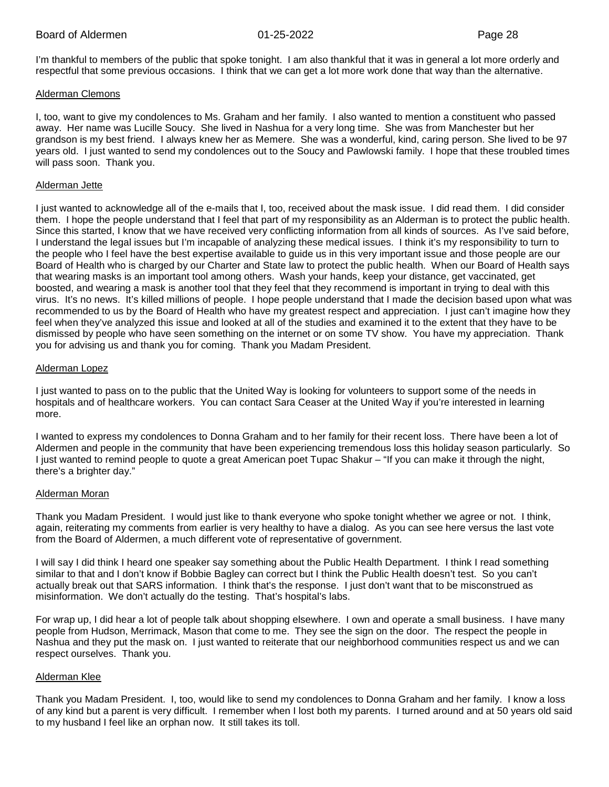I'm thankful to members of the public that spoke tonight. I am also thankful that it was in general a lot more orderly and respectful that some previous occasions. I think that we can get a lot more work done that way than the alternative.

#### Alderman Clemons

I, too, want to give my condolences to Ms. Graham and her family. I also wanted to mention a constituent who passed away. Her name was Lucille Soucy. She lived in Nashua for a very long time. She was from Manchester but her grandson is my best friend. I always knew her as Memere. She was a wonderful, kind, caring person. She lived to be 97 years old. I just wanted to send my condolences out to the Soucy and Pawlowski family. I hope that these troubled times will pass soon. Thank you.

#### Alderman Jette

I just wanted to acknowledge all of the e-mails that I, too, received about the mask issue. I did read them. I did consider them. I hope the people understand that I feel that part of my responsibility as an Alderman is to protect the public health. Since this started, I know that we have received very conflicting information from all kinds of sources. As I've said before, I understand the legal issues but I'm incapable of analyzing these medical issues. I think it's my responsibility to turn to the people who I feel have the best expertise available to guide us in this very important issue and those people are our Board of Health who is charged by our Charter and State law to protect the public health. When our Board of Health says that wearing masks is an important tool among others. Wash your hands, keep your distance, get vaccinated, get boosted, and wearing a mask is another tool that they feel that they recommend is important in trying to deal with this virus. It's no news. It's killed millions of people. I hope people understand that I made the decision based upon what was recommended to us by the Board of Health who have my greatest respect and appreciation. I just can't imagine how they feel when they've analyzed this issue and looked at all of the studies and examined it to the extent that they have to be dismissed by people who have seen something on the internet or on some TV show. You have my appreciation. Thank you for advising us and thank you for coming. Thank you Madam President.

# Alderman Lopez

I just wanted to pass on to the public that the United Way is looking for volunteers to support some of the needs in hospitals and of healthcare workers. You can contact Sara Ceaser at the United Way if you're interested in learning more.

I wanted to express my condolences to Donna Graham and to her family for their recent loss. There have been a lot of Aldermen and people in the community that have been experiencing tremendous loss this holiday season particularly. So I just wanted to remind people to quote a great American poet Tupac Shakur – "If you can make it through the night, there's a brighter day."

#### Alderman Moran

Thank you Madam President. I would just like to thank everyone who spoke tonight whether we agree or not. I think, again, reiterating my comments from earlier is very healthy to have a dialog. As you can see here versus the last vote from the Board of Aldermen, a much different vote of representative of government.

I will say I did think I heard one speaker say something about the Public Health Department. I think I read something similar to that and I don't know if Bobbie Bagley can correct but I think the Public Health doesn't test. So you can't actually break out that SARS information. I think that's the response. I just don't want that to be misconstrued as misinformation. We don't actually do the testing. That's hospital's labs.

For wrap up, I did hear a lot of people talk about shopping elsewhere. I own and operate a small business. I have many people from Hudson, Merrimack, Mason that come to me. They see the sign on the door. The respect the people in Nashua and they put the mask on. I just wanted to reiterate that our neighborhood communities respect us and we can respect ourselves. Thank you.

#### Alderman Klee

Thank you Madam President. I, too, would like to send my condolences to Donna Graham and her family. I know a loss of any kind but a parent is very difficult. I remember when I lost both my parents. I turned around and at 50 years old said to my husband I feel like an orphan now. It still takes its toll.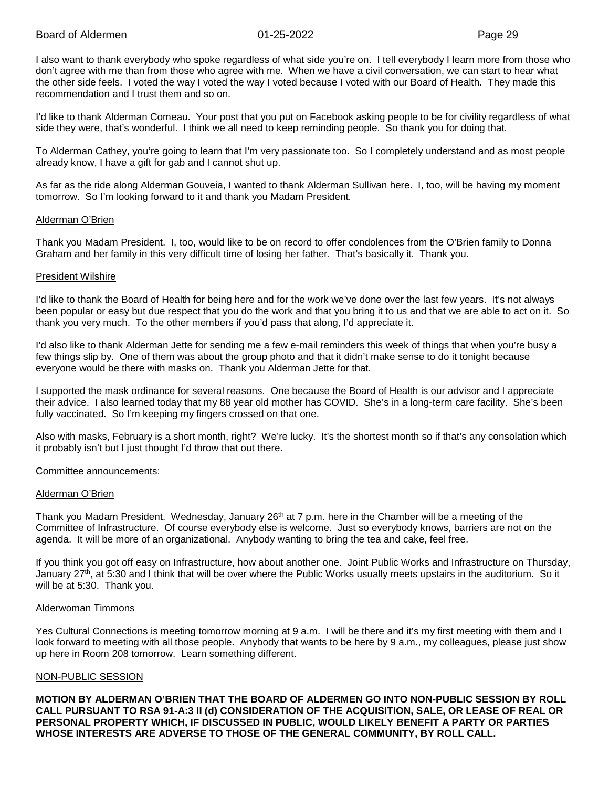I also want to thank everybody who spoke regardless of what side you're on. I tell everybody I learn more from those who don't agree with me than from those who agree with me. When we have a civil conversation, we can start to hear what the other side feels. I voted the way I voted the way I voted because I voted with our Board of Health. They made this recommendation and I trust them and so on.

I'd like to thank Alderman Comeau. Your post that you put on Facebook asking people to be for civility regardless of what side they were, that's wonderful. I think we all need to keep reminding people. So thank you for doing that.

To Alderman Cathey, you're going to learn that I'm very passionate too. So I completely understand and as most people already know, I have a gift for gab and I cannot shut up.

As far as the ride along Alderman Gouveia, I wanted to thank Alderman Sullivan here. I, too, will be having my moment tomorrow. So I'm looking forward to it and thank you Madam President.

#### Alderman O'Brien

Thank you Madam President. I, too, would like to be on record to offer condolences from the O'Brien family to Donna Graham and her family in this very difficult time of losing her father. That's basically it. Thank you.

#### President Wilshire

I'd like to thank the Board of Health for being here and for the work we've done over the last few years. It's not always been popular or easy but due respect that you do the work and that you bring it to us and that we are able to act on it. So thank you very much. To the other members if you'd pass that along, I'd appreciate it.

I'd also like to thank Alderman Jette for sending me a few e-mail reminders this week of things that when you're busy a few things slip by. One of them was about the group photo and that it didn't make sense to do it tonight because everyone would be there with masks on. Thank you Alderman Jette for that.

I supported the mask ordinance for several reasons. One because the Board of Health is our advisor and I appreciate their advice. I also learned today that my 88 year old mother has COVID. She's in a long-term care facility. She's been fully vaccinated. So I'm keeping my fingers crossed on that one.

Also with masks, February is a short month, right? We're lucky. It's the shortest month so if that's any consolation which it probably isn't but I just thought I'd throw that out there.

Committee announcements:

#### Alderman O'Brien

Thank you Madam President. Wednesday, January 26<sup>th</sup> at 7 p.m. here in the Chamber will be a meeting of the Committee of Infrastructure. Of course everybody else is welcome. Just so everybody knows, barriers are not on the agenda. It will be more of an organizational. Anybody wanting to bring the tea and cake, feel free.

If you think you got off easy on Infrastructure, how about another one. Joint Public Works and Infrastructure on Thursday, January 27<sup>th</sup>, at 5:30 and I think that will be over where the Public Works usually meets upstairs in the auditorium. So it will be at 5:30. Thank you.

#### Alderwoman Timmons

Yes Cultural Connections is meeting tomorrow morning at 9 a.m. I will be there and it's my first meeting with them and I look forward to meeting with all those people. Anybody that wants to be here by 9 a.m., my colleagues, please just show up here in Room 208 tomorrow. Learn something different.

#### NON-PUBLIC SESSION

**MOTION BY ALDERMAN O'BRIEN THAT THE BOARD OF ALDERMEN GO INTO NON-PUBLIC SESSION BY ROLL CALL PURSUANT TO RSA 91-A:3 II (d) CONSIDERATION OF THE ACQUISITION, SALE, OR LEASE OF REAL OR PERSONAL PROPERTY WHICH, IF DISCUSSED IN PUBLIC, WOULD LIKELY BENEFIT A PARTY OR PARTIES WHOSE INTERESTS ARE ADVERSE TO THOSE OF THE GENERAL COMMUNITY, BY ROLL CALL.**